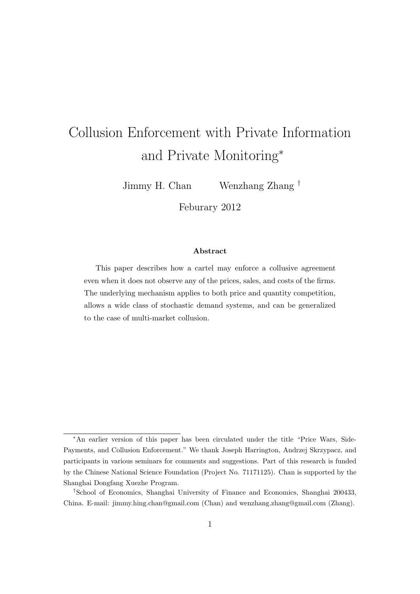# Collusion Enforcement with Private Information and Private Monitoring<sup>∗</sup>

Jimmy H. Chan Wenzhang Zhang †

Feburary 2012

#### Abstract

This paper describes how a cartel may enforce a collusive agreement even when it does not observe any of the prices, sales, and costs of the firms. The underlying mechanism applies to both price and quantity competition, allows a wide class of stochastic demand systems, and can be generalized to the case of multi-market collusion.

<sup>∗</sup>An earlier version of this paper has been circulated under the title "Price Wars, Side-Payments, and Collusion Enforcement." We thank Joseph Harrington, Andrzej Skrzypacz, and participants in various seminars for comments and suggestions. Part of this research is funded by the Chinese National Science Foundation (Project No. 71171125). Chan is supported by the Shanghai Dongfang Xuezhe Program.

<sup>†</sup>School of Economics, Shanghai University of Finance and Economics, Shanghai 200433, China. E-mail: jimmy.hing.chan@gmail.com (Chan) and wenzhang.zhang@gmail.com (Zhang).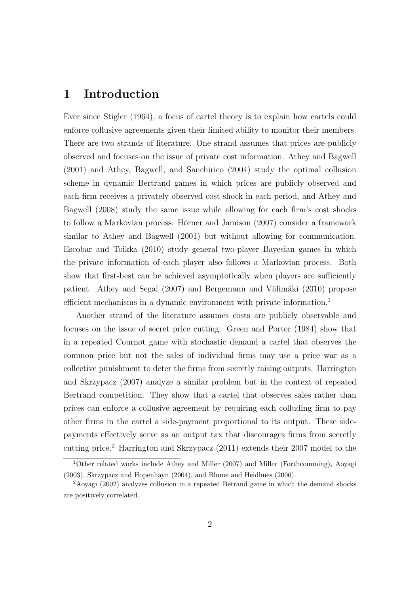## 1 Introduction

Ever since Stigler (1964), a focus of cartel theory is to explain how cartels could enforce collusive agreements given their limited ability to monitor their members. There are two strands of literature. One strand assumes that prices are publicly observed and focuses on the issue of private cost information. Athey and Bagwell (2001) and Athey, Bagwell, and Sanchirico (2004) study the optimal collusion scheme in dynamic Bertrand games in which prices are publicly observed and each firm receives a privately observed cost shock in each period, and Athey and Bagwell (2008) study the same issue while allowing for each firm's cost shocks to follow a Markovian process. Hörner and Jamison  $(2007)$  consider a framework similar to Athey and Bagwell (2001) but without allowing for communication. Escobar and Toikka (2010) study general two-player Bayesian games in which the private information of each player also follows a Markovian process. Both show that first-best can be achieved asymptotically when players are sufficiently patient. Athey and Segal (2007) and Bergemann and Välimäki (2010) propose efficient mechanisms in a dynamic environment with private information.<sup>1</sup>

Another strand of the literature assumes costs are publicly observable and focuses on the issue of secret price cutting. Green and Porter (1984) show that in a repeated Cournot game with stochastic demand a cartel that observes the common price but not the sales of individual firms may use a price war as a collective punishment to deter the firms from secretly raising outputs. Harrington and Skrzypacz (2007) analyze a similar problem but in the context of repeated Bertrand competition. They show that a cartel that observes sales rather than prices can enforce a collusive agreement by requiring each colluding firm to pay other firms in the cartel a side-payment proportional to its output. These sidepayments effectively serve as an output tax that discourages firms from secretly cutting price.<sup>2</sup> Harrington and Skrzypacz (2011) extends their 2007 model to the

<sup>1</sup>Other related works include Athey and Miller (2007) and Miller (Forthcomming), Aoyagi (2003), Skrzypacz and Hopenhayn (2004), and Blume and Heidhues (2006).

<sup>2</sup>Aoyagi (2002) analyzes collusion in a repeated Betrand game in which the demand shocks are positively correlated.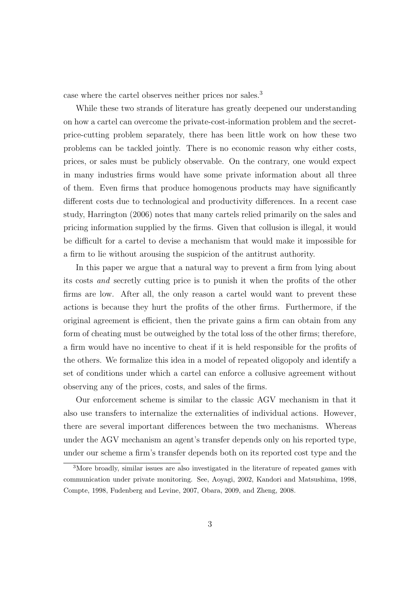case where the cartel observes neither prices nor sales.<sup>3</sup>

While these two strands of literature has greatly deepened our understanding on how a cartel can overcome the private-cost-information problem and the secretprice-cutting problem separately, there has been little work on how these two problems can be tackled jointly. There is no economic reason why either costs, prices, or sales must be publicly observable. On the contrary, one would expect in many industries firms would have some private information about all three of them. Even firms that produce homogenous products may have significantly different costs due to technological and productivity differences. In a recent case study, Harrington (2006) notes that many cartels relied primarily on the sales and pricing information supplied by the firms. Given that collusion is illegal, it would be difficult for a cartel to devise a mechanism that would make it impossible for a firm to lie without arousing the suspicion of the antitrust authority.

In this paper we argue that a natural way to prevent a firm from lying about its costs and secretly cutting price is to punish it when the profits of the other firms are low. After all, the only reason a cartel would want to prevent these actions is because they hurt the profits of the other firms. Furthermore, if the original agreement is efficient, then the private gains a firm can obtain from any form of cheating must be outweighed by the total loss of the other firms; therefore, a firm would have no incentive to cheat if it is held responsible for the profits of the others. We formalize this idea in a model of repeated oligopoly and identify a set of conditions under which a cartel can enforce a collusive agreement without observing any of the prices, costs, and sales of the firms.

Our enforcement scheme is similar to the classic AGV mechanism in that it also use transfers to internalize the externalities of individual actions. However, there are several important differences between the two mechanisms. Whereas under the AGV mechanism an agent's transfer depends only on his reported type, under our scheme a firm's transfer depends both on its reported cost type and the

<sup>3</sup>More broadly, similar issues are also investigated in the literature of repeated games with communication under private monitoring. See, Aoyagi, 2002, Kandori and Matsushima, 1998, Compte, 1998, Fudenberg and Levine, 2007, Obara, 2009, and Zheng, 2008.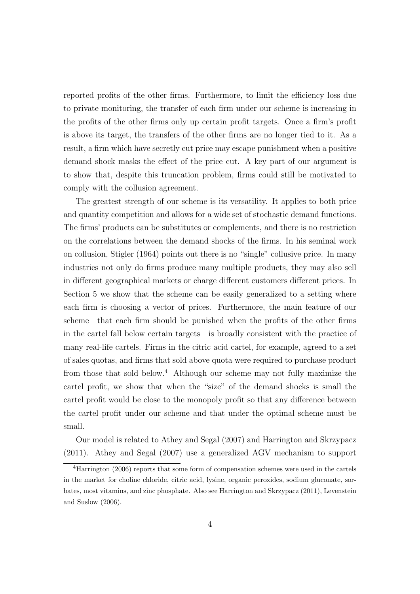reported profits of the other firms. Furthermore, to limit the efficiency loss due to private monitoring, the transfer of each firm under our scheme is increasing in the profits of the other firms only up certain profit targets. Once a firm's profit is above its target, the transfers of the other firms are no longer tied to it. As a result, a firm which have secretly cut price may escape punishment when a positive demand shock masks the effect of the price cut. A key part of our argument is to show that, despite this truncation problem, firms could still be motivated to comply with the collusion agreement.

The greatest strength of our scheme is its versatility. It applies to both price and quantity competition and allows for a wide set of stochastic demand functions. The firms' products can be substitutes or complements, and there is no restriction on the correlations between the demand shocks of the firms. In his seminal work on collusion, Stigler (1964) points out there is no "single" collusive price. In many industries not only do firms produce many multiple products, they may also sell in different geographical markets or charge different customers different prices. In Section 5 we show that the scheme can be easily generalized to a setting where each firm is choosing a vector of prices. Furthermore, the main feature of our scheme—that each firm should be punished when the profits of the other firms in the cartel fall below certain targets—is broadly consistent with the practice of many real-life cartels. Firms in the citric acid cartel, for example, agreed to a set of sales quotas, and firms that sold above quota were required to purchase product from those that sold below.<sup>4</sup> Although our scheme may not fully maximize the cartel profit, we show that when the "size" of the demand shocks is small the cartel profit would be close to the monopoly profit so that any difference between the cartel profit under our scheme and that under the optimal scheme must be small.

Our model is related to Athey and Segal (2007) and Harrington and Skrzypacz (2011). Athey and Segal (2007) use a generalized AGV mechanism to support

<sup>4</sup>Harrington (2006) reports that some form of compensation schemes were used in the cartels in the market for choline chloride, citric acid, lysine, organic peroxides, sodium gluconate, sorbates, most vitamins, and zinc phosphate. Also see Harrington and Skrzypacz (2011), Levenstein and Suslow (2006).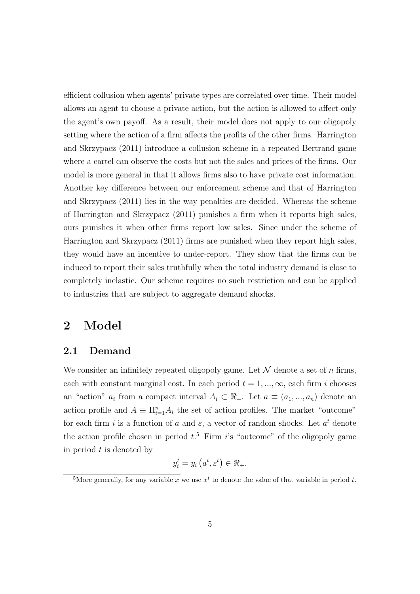efficient collusion when agents' private types are correlated over time. Their model allows an agent to choose a private action, but the action is allowed to affect only the agent's own payoff. As a result, their model does not apply to our oligopoly setting where the action of a firm affects the profits of the other firms. Harrington and Skrzypacz (2011) introduce a collusion scheme in a repeated Bertrand game where a cartel can observe the costs but not the sales and prices of the firms. Our model is more general in that it allows firms also to have private cost information. Another key difference between our enforcement scheme and that of Harrington and Skrzypacz (2011) lies in the way penalties are decided. Whereas the scheme of Harrington and Skrzypacz (2011) punishes a firm when it reports high sales, ours punishes it when other firms report low sales. Since under the scheme of Harrington and Skrzypacz (2011) firms are punished when they report high sales, they would have an incentive to under-report. They show that the firms can be induced to report their sales truthfully when the total industry demand is close to completely inelastic. Our scheme requires no such restriction and can be applied to industries that are subject to aggregate demand shocks.

# 2 Model

### 2.1 Demand

We consider an infinitely repeated oligopoly game. Let  $\mathcal N$  denote a set of n firms, each with constant marginal cost. In each period  $t = 1, ..., \infty$ , each firm i chooses an "action"  $a_i$  from a compact interval  $A_i \subset \mathbb{R}_+$ . Let  $a \equiv (a_1, ..., a_n)$  denote an action profile and  $A \equiv \prod_{i=1}^{n} A_i$  the set of action profiles. The market "outcome" for each firm i is a function of a and  $\varepsilon$ , a vector of random shocks. Let  $a^t$  denote the action profile chosen in period  $t<sup>5</sup>$ . Firm i's "outcome" of the oligopoly game in period  $t$  is denoted by

$$
y_i^t = y_i\left(a^t, \varepsilon^t\right) \in \Re_+,
$$

<sup>&</sup>lt;sup>5</sup>More generally, for any variable x we use  $x<sup>t</sup>$  to denote the value of that variable in period t.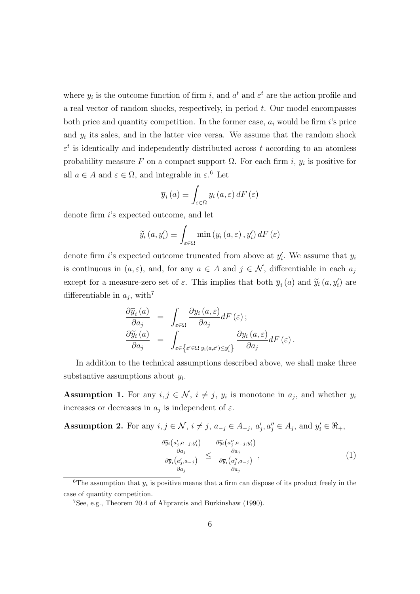where  $y_i$  is the outcome function of firm i, and  $a^t$  and  $\varepsilon^t$  are the action profile and a real vector of random shocks, respectively, in period  $t$ . Our model encompasses both price and quantity competition. In the former case,  $a_i$  would be firm i's price and  $y_i$  its sales, and in the latter vice versa. We assume that the random shock  $\varepsilon^t$  is identically and independently distributed across t according to an atomless probability measure F on a compact support  $\Omega$ . For each firm i,  $y_i$  is positive for all  $a \in A$  and  $\varepsilon \in \Omega$ , and integrable in  $\varepsilon$ .<sup>6</sup> Let

$$
\overline{y}_{i}\left(a\right) \equiv \int_{\varepsilon \in \Omega} y_{i}\left(a,\varepsilon\right) dF\left(\varepsilon\right)
$$

denote firm i's expected outcome, and let

$$
\widetilde{y}_{i}\left(a,y_{i}'\right) \equiv \int_{\varepsilon \in \Omega} \min\left(y_{i}\left(a,\varepsilon\right), y_{i}'\right) dF\left(\varepsilon\right)
$$

denote firm *i*'s expected outcome truncated from above at  $y_i'$ . We assume that  $y_i$ is continuous in  $(a, \varepsilon)$ , and, for any  $a \in A$  and  $j \in \mathcal{N}$ , differentiable in each  $a_j$ except for a measure-zero set of  $\varepsilon$ . This implies that both  $\overline{y}_i(a)$  and  $\widetilde{y}_i(a, y'_i)$  are differentiable in  $a_j$ , with<sup>7</sup>

$$
\frac{\partial \overline{y}_{i}(a)}{\partial a_{j}} = \int_{\varepsilon \in \Omega} \frac{\partial y_{i}(a, \varepsilon)}{\partial a_{j}} dF(\varepsilon);
$$

$$
\frac{\partial \widetilde{y}_{i}(a)}{\partial a_{j}} = \int_{\varepsilon \in \left\{ \varepsilon' \in \Omega | y_{i}(a, \varepsilon') \le y'_{i} \right\}} \frac{\partial y_{i}(a, \varepsilon)}{\partial a_{j}} dF(\varepsilon).
$$

In addition to the technical assumptions described above, we shall make three substantive assumptions about  $y_i$ .

**Assumption 1.** For any  $i, j \in \mathcal{N}$ ,  $i \neq j$ ,  $y_i$  is monotone in  $a_j$ , and whether  $y_i$ increases or decreases in  $a_j$  is independent of  $\varepsilon$ .

Assumption 2. For any  $i, j \in \mathcal{N}$ ,  $i \neq j$ ,  $a_{-j} \in A_{-j}$ ,  $a'_{j}, a''_{j} \in A_{j}$ , and  $y'_{i} \in \Re_{+}$ ,

$$
\frac{\frac{\partial \widetilde{y}_i(a'_j, a_{-j}, y'_i)}{\partial a_j}}{\frac{\partial \overline{y}_i(a'_j, a_{-j})}{\partial a_j}} \le \frac{\frac{\partial \widetilde{y}_i(a''_j, a_{-j}, y'_i)}{\partial a_j}}{\frac{\partial \overline{y}_i(a''_j, a_{-j})}{\partial a_j}},\tag{1}
$$

<sup>&</sup>lt;sup>6</sup>The assumption that  $y_i$  is positive means that a firm can dispose of its product freely in the case of quantity competition.

<sup>7</sup>See, e.g., Theorem 20.4 of Aliprantis and Burkinshaw (1990).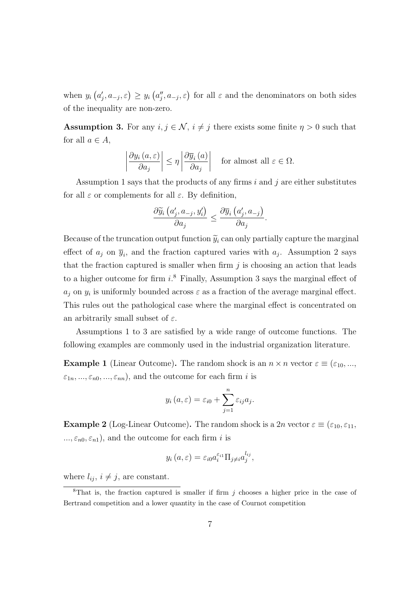when  $y_i(a'_j, a_{-j}, \varepsilon) \ge y_i(a''_j, a_{-j}, \varepsilon)$  for all  $\varepsilon$  and the denominators on both sides of the inequality are non-zero.

**Assumption 3.** For any  $i, j \in \mathcal{N}$ ,  $i \neq j$  there exists some finite  $\eta > 0$  such that for all  $a \in A$ ,

$$
\left|\frac{\partial y_i(a,\varepsilon)}{\partial a_j}\right| \le \eta \left|\frac{\partial \overline{y}_i(a)}{\partial a_j}\right| \quad \text{for almost all } \varepsilon \in \Omega.
$$

Assumption 1 says that the products of any firms  $i$  and  $j$  are either substitutes for all  $\varepsilon$  or complements for all  $\varepsilon$ . By definition,

$$
\frac{\partial \widetilde{y}_{i}\left(a'_{j},a_{-j},y'_{i}\right)}{\partial a_{j}} \leq \frac{\partial \overline{y}_{i}\left(a'_{j},a_{-j}\right)}{\partial a_{j}}.
$$

Because of the truncation output function  $\widetilde{y}_i$  can only partially capture the marginal effect of  $a_j$  on  $\overline{y}_i$ , and the fraction captured varies with  $a_j$ . Assumption 2 says that the fraction captured is smaller when firm  $j$  is choosing an action that leads to a higher outcome for firm  $i$ <sup>8</sup> Finally, Assumption 3 says the marginal effect of  $a_j$  on  $y_i$  is uniformly bounded across  $\varepsilon$  as a fraction of the average marginal effect. This rules out the pathological case where the marginal effect is concentrated on an arbitrarily small subset of  $\varepsilon$ .

Assumptions 1 to 3 are satisfied by a wide range of outcome functions. The following examples are commonly used in the industrial organization literature.

**Example 1** (Linear Outcome). The random shock is an  $n \times n$  vector  $\varepsilon \equiv (\varepsilon_{10}, ..., \varepsilon_{10})$  $\varepsilon_{1n}, ..., \varepsilon_{n0}, ..., \varepsilon_{nn}$ , and the outcome for each firm *i* is

$$
y_i(a,\varepsilon) = \varepsilon_{i0} + \sum_{j=1}^n \varepsilon_{ij} a_j.
$$

**Example 2** (Log-Linear Outcome). The random shock is a 2n vector  $\varepsilon \equiv (\varepsilon_{10}, \varepsilon_{11}, \varepsilon_{11})$  $..., \varepsilon_{n0}, \varepsilon_{n1}$ , and the outcome for each firm *i* is

$$
y_i(a,\varepsilon)=\varepsilon_{i0}a_i^{\varepsilon_{i1}}\Pi_{j\neq i}a_j^{l_{ij}},
$$

where  $l_{ij}$ ,  $i \neq j$ , are constant.

<sup>&</sup>lt;sup>8</sup>That is, the fraction captured is smaller if firm  $j$  chooses a higher price in the case of Bertrand competition and a lower quantity in the case of Cournot competition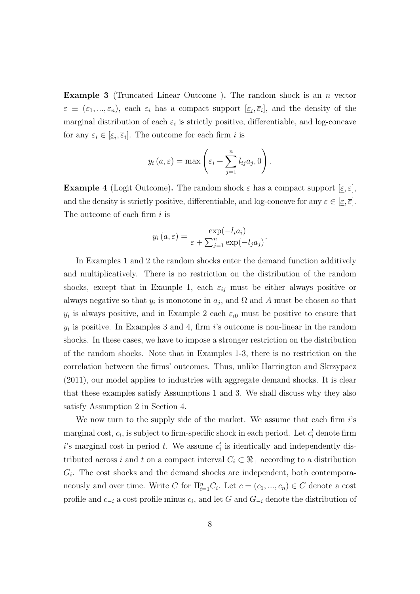Example 3 (Truncated Linear Outcome ). The random shock is an n vector  $\varepsilon \equiv (\varepsilon_1, ..., \varepsilon_n)$ , each  $\varepsilon_i$  has a compact support  $[\underline{\varepsilon}_i, \overline{\varepsilon}_i]$ , and the density of the marginal distribution of each  $\varepsilon_i$  is strictly positive, differentiable, and log-concave for any  $\varepsilon_i \in [\underline{\varepsilon}_i, \overline{\varepsilon}_i]$ . The outcome for each firm *i* is

$$
y_i(a,\varepsilon) = \max\left(\varepsilon_i + \sum_{j=1}^n l_{ij}a_j, 0\right).
$$

**Example 4** (Logit Outcome). The random shock  $\varepsilon$  has a compact support  $[\varepsilon, \overline{\varepsilon}]$ , and the density is strictly positive, differentiable, and log-concave for any  $\varepsilon \in [\underline{\varepsilon}, \overline{\varepsilon}]$ . The outcome of each firm  $i$  is

$$
y_i(a,\varepsilon) = \frac{\exp(-l_i a_i)}{\varepsilon + \sum_{j=1}^n \exp(-l_j a_j)}.
$$

In Examples 1 and 2 the random shocks enter the demand function additively and multiplicatively. There is no restriction on the distribution of the random shocks, except that in Example 1, each  $\varepsilon_{ij}$  must be either always positive or always negative so that  $y_i$  is monotone in  $a_j$ , and  $\Omega$  and A must be chosen so that  $y_i$  is always positive, and in Example 2 each  $\varepsilon_{i0}$  must be positive to ensure that  $y_i$  is positive. In Examples 3 and 4, firm i's outcome is non-linear in the random shocks. In these cases, we have to impose a stronger restriction on the distribution of the random shocks. Note that in Examples 1-3, there is no restriction on the correlation between the firms' outcomes. Thus, unlike Harrington and Skrzypacz (2011), our model applies to industries with aggregate demand shocks. It is clear that these examples satisfy Assumptions 1 and 3. We shall discuss why they also satisfy Assumption 2 in Section 4.

We now turn to the supply side of the market. We assume that each firm  $i$ 's marginal cost,  $c_i$ , is subject to firm-specific shock in each period. Let  $c_i^t$  denote firm i's marginal cost in period t. We assume  $c_i^t$  is identically and independently distributed across i and t on a compact interval  $C_i \subset \mathbb{R}_+$  according to a distribution  $G_i$ . The cost shocks and the demand shocks are independent, both contemporaneously and over time. Write C for  $\Pi_{i=1}^n C_i$ . Let  $c = (c_1, ..., c_n) \in C$  denote a cost profile and  $c_{-i}$  a cost profile minus  $c_i$ , and let G and  $G_{-i}$  denote the distribution of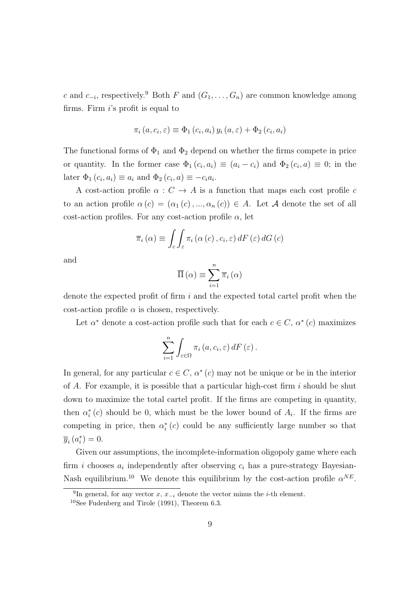c and  $c_{-i}$ , respectively.<sup>9</sup> Both F and  $(G_1, \ldots, G_n)$  are common knowledge among firms. Firm  $i$ 's profit is equal to

$$
\pi_i(a, c_i, \varepsilon) \equiv \Phi_1(c_i, a_i) y_i(a, \varepsilon) + \Phi_2(c_i, a_i)
$$

The functional forms of  $\Phi_1$  and  $\Phi_2$  depend on whether the firms compete in price or quantity. In the former case  $\Phi_1(c_i, a_i) \equiv (a_i - c_i)$  and  $\Phi_2(c_i, a) \equiv 0$ ; in the later  $\Phi_1(c_i, a_i) \equiv a_i$  and  $\Phi_2(c_i, a) \equiv -c_i a_i$ .

A cost-action profile  $\alpha: C \to A$  is a function that maps each cost profile c to an action profile  $\alpha(c) = (\alpha_1(c), ..., \alpha_n(c)) \in A$ . Let A denote the set of all cost-action profiles. For any cost-action profile  $\alpha$ , let

$$
\overline{\pi}_{i}(\alpha) \equiv \int_{c} \int_{\varepsilon} \pi_{i}(\alpha(c), c_{i}, \varepsilon) dF(\varepsilon) dG(c)
$$

and

$$
\overline{\Pi}\left(\alpha\right) \equiv \sum_{i=1}^{n} \overline{\pi}_{i}\left(\alpha\right)
$$

denote the expected profit of firm i and the expected total cartel profit when the cost-action profile  $\alpha$  is chosen, respectively.

Let  $\alpha^*$  denote a cost-action profile such that for each  $c \in C$ ,  $\alpha^*(c)$  maximizes

$$
\sum_{i=1}^{n} \int_{\varepsilon \in \Omega} \pi_i(a, c_i, \varepsilon) dF(\varepsilon).
$$

In general, for any particular  $c \in C$ ,  $\alpha^*(c)$  may not be unique or be in the interior of A. For example, it is possible that a particular high-cost firm  $i$  should be shut down to maximize the total cartel profit. If the firms are competing in quantity, then  $\alpha_i^*(c)$  should be 0, which must be the lower bound of  $A_i$ . If the firms are competing in price, then  $\alpha_i^*(c)$  could be any sufficiently large number so that  $\overline{y}_i(a_i^*)=0.$ 

Given our assumptions, the incomplete-information oligopoly game where each firm *i* chooses  $a_i$  independently after observing  $c_i$  has a pure-strategy Bayesian-Nash equilibrium.<sup>10</sup> We denote this equilibrium by the cost-action profile  $\alpha^{NE}$ .

<sup>&</sup>lt;sup>9</sup>In general, for any vector x,  $x_{-i}$  denote the vector minus the *i*-th element.

 $10$ See Fudenberg and Tirole (1991), Theorem 6.3.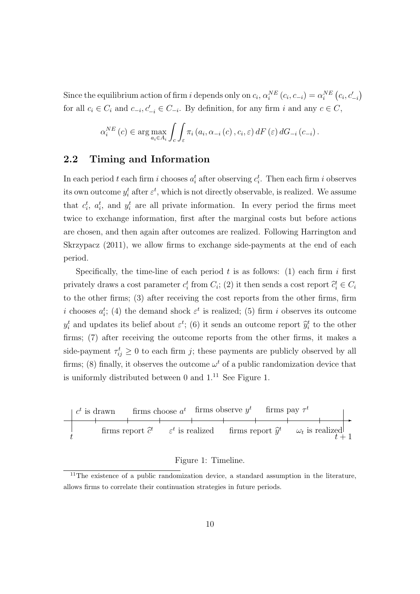Since the equilibrium action of firm i depends only on  $c_i$ ,  $\alpha_i^{NE}(c_i, c_{-i}) = \alpha_i^{NE}(c_i, c'_{-i})$ for all  $c_i \in C_i$  and  $c_{-i}, c'_{-i} \in C_{-i}$ . By definition, for any firm i and any  $c \in C$ ,

$$
\alpha_i^{NE}(c) \in \arg \max_{a_i \in A_i} \int_c \int_{\varepsilon} \pi_i(a_i, \alpha_{-i}(c), c_i, \varepsilon) dF(\varepsilon) dG_{-i}(c_{-i}).
$$

### 2.2 Timing and Information

In each period t each firm i chooses  $a_i^t$  after observing  $c_i^t$ . Then each firm i observes its own outcome  $y_i^t$  after  $\varepsilon^t$ , which is not directly observable, is realized. We assume that  $c_i^t$ ,  $a_i^t$ , and  $y_i^t$  are all private information. In every period the firms meet twice to exchange information, first after the marginal costs but before actions are chosen, and then again after outcomes are realized. Following Harrington and Skrzypacz (2011), we allow firms to exchange side-payments at the end of each period.

Specifically, the time-line of each period  $t$  is as follows: (1) each firm  $i$  first privately draws a cost parameter  $c_i^t$  from  $C_i$ ; (2) it then sends a cost report  $\hat{c}_i^t \in C_i$ to the other firms; (3) after receiving the cost reports from the other firms, firm i chooses  $a_i^t$ ; (4) the demand shock  $\varepsilon^t$  is realized; (5) firm i observes its outcome  $y_i^t$  and updates its belief about  $\varepsilon^t$ ; (6) it sends an outcome report  $\hat{y}_i^t$  to the other firms; (7) after receiving the outcome reports from the other firms, it makes a side-payment  $\tau_{ij}^t \geq 0$  to each firm j; these payments are publicly observed by all firms; (8) finally, it observes the outcome  $\omega^t$  of a public randomization device that is uniformly distributed between 0 and  $1<sup>11</sup>$  See Figure 1.



#### Figure 1: Timeline.

 $11$ The existence of a public randomization device, a standard assumption in the literature, allows firms to correlate their continuation strategies in future periods.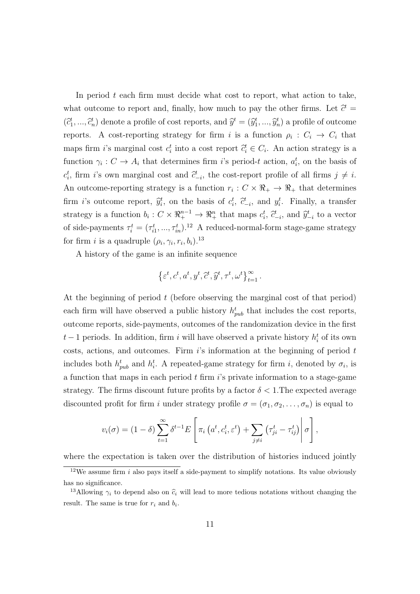In period  $t$  each firm must decide what cost to report, what action to take, what outcome to report and, finally, how much to pay the other firms. Let  $\hat{c}^t =$  $(\hat{c}_1^t, ..., \hat{c}_n^t)$  denote a profile of cost reports, and  $\hat{y}^t = (\hat{y}_1^t, ..., \hat{y}_n^t)$  a profile of outcome reports. A cost-reporting strategy for firm i is a function  $\rho_i : C_i \to C_i$  that maps firm *i*'s marginal cost  $c_i^t$  into a cost report  $\hat{c}_i^t \in C_i$ . An action strategy is a function  $\gamma_i: C \to A_i$  that determines firm i's period-t action,  $a_i^t$ , on the basis of  $c_i^t$ , firm i's own marginal cost and  $\hat{c}_{-i}^t$ , the cost-report profile of all firms  $j \neq i$ . An outcome-reporting strategy is a function  $r_i: C \times \mathbb{R}_+ \to \mathbb{R}_+$  that determines firm *i*'s outcome report,  $\hat{y}_i^t$ , on the basis of  $c_i^t$ ,  $\hat{c}_{-i}^t$ , and  $y_i^t$ . Finally, a transfer strategy is a function  $b_i: C \times \mathbb{R}^{n-1}_+ \to \mathbb{R}^n_+$  that maps  $c_i^t$ ,  $\tilde{c}_{-i}^t$ , and  $\tilde{y}_{-i}^t$  to a vector of side-payments  $\tau_i^t = (\tau_{i1}^t, ..., \tau_{in}^t).^{12}$  A reduced-normal-form stage-game strategy for firm *i* is a quadruple  $(\rho_i, \gamma_i, r_i, b_i)$ .<sup>13</sup>

A history of the game is an infinite sequence

$$
\left\{\varepsilon^t, c^t, a^t, y^t, \widetilde{c}^t, \widehat{y}^t, \tau^t, \omega^t\right\}_{t=1}^{\infty}.
$$

At the beginning of period  $t$  (before observing the marginal cost of that period) each firm will have observed a public history  $h_{pub}^t$  that includes the cost reports, outcome reports, side-payments, outcomes of the randomization device in the first  $t-1$  periods. In addition, firm i will have observed a private history  $h_i^t$  of its own costs, actions, and outcomes. Firm  $i$ 's information at the beginning of period  $t$ includes both  $h_{pub}^t$  and  $h_i^t$ . A repeated-game strategy for firm i, denoted by  $\sigma_i$ , is a function that maps in each period  $t$  firm  $i$ 's private information to a stage-game strategy. The firms discount future profits by a factor  $\delta < 1$ . The expected average discounted profit for firm i under strategy profile  $\sigma = (\sigma_1, \sigma_2, \ldots, \sigma_n)$  is equal to

$$
v_i(\sigma) = (1 - \delta) \sum_{t=1}^{\infty} \delta^{t-1} E\left[\pi_i\left(a^t, c_i^t, \varepsilon^t\right) + \sum_{j \neq i} \left(\tau_{ji}^t - \tau_{ij}^t\right) \middle| \sigma\right],
$$

where the expectation is taken over the distribution of histories induced jointly

 $12$ We assume firm i also pays itself a side-payment to simplify notations. Its value obviously has no significance.

<sup>&</sup>lt;sup>13</sup>Allowing  $\gamma_i$  to depend also on  $\hat{c}_i$  will lead to more tedious notations without changing the result. The same is true for  $r_i$  and  $b_i$ .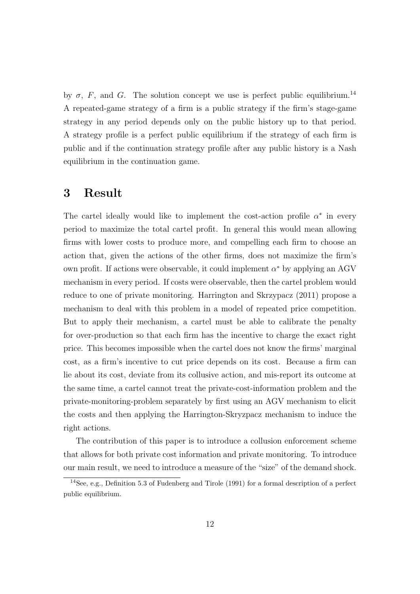by  $\sigma$ , F, and G. The solution concept we use is perfect public equilibrium.<sup>14</sup> A repeated-game strategy of a firm is a public strategy if the firm's stage-game strategy in any period depends only on the public history up to that period. A strategy profile is a perfect public equilibrium if the strategy of each firm is public and if the continuation strategy profile after any public history is a Nash equilibrium in the continuation game.

### 3 Result

The cartel ideally would like to implement the cost-action profile  $\alpha^*$  in every period to maximize the total cartel profit. In general this would mean allowing firms with lower costs to produce more, and compelling each firm to choose an action that, given the actions of the other firms, does not maximize the firm's own profit. If actions were observable, it could implement  $\alpha^*$  by applying an AGV mechanism in every period. If costs were observable, then the cartel problem would reduce to one of private monitoring. Harrington and Skrzypacz (2011) propose a mechanism to deal with this problem in a model of repeated price competition. But to apply their mechanism, a cartel must be able to calibrate the penalty for over-production so that each firm has the incentive to charge the exact right price. This becomes impossible when the cartel does not know the firms' marginal cost, as a firm's incentive to cut price depends on its cost. Because a firm can lie about its cost, deviate from its collusive action, and mis-report its outcome at the same time, a cartel cannot treat the private-cost-information problem and the private-monitoring-problem separately by first using an AGV mechanism to elicit the costs and then applying the Harrington-Skryzpacz mechanism to induce the right actions.

The contribution of this paper is to introduce a collusion enforcement scheme that allows for both private cost information and private monitoring. To introduce our main result, we need to introduce a measure of the "size" of the demand shock.

<sup>&</sup>lt;sup>14</sup>See, e.g., Definition 5.3 of Fudenberg and Tirole (1991) for a formal description of a perfect public equilibrium.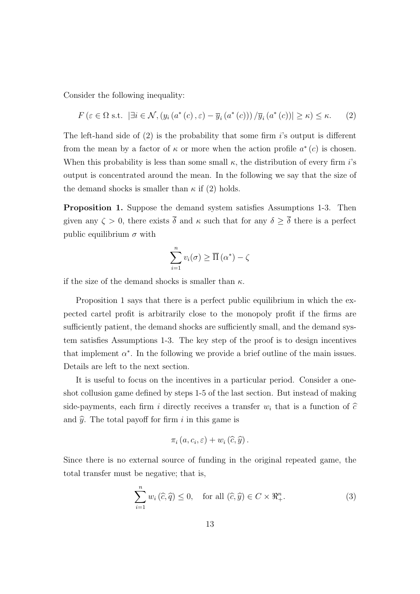Consider the following inequality:

$$
F\left(\varepsilon \in \Omega \text{ s.t. } \left|\exists i \in \mathcal{N}, \left(y_i\left(a^*(c), \varepsilon\right) - \overline{y}_i\left(a^*(c)\right)\right) / \overline{y}_i\left(a^*(c)\right)\right| \geq \kappa\right) \leq \kappa. \tag{2}
$$

The left-hand side of  $(2)$  is the probability that some firm is output is different from the mean by a factor of  $\kappa$  or more when the action profile  $a^*(c)$  is chosen. When this probability is less than some small  $\kappa$ , the distribution of every firm i's output is concentrated around the mean. In the following we say that the size of the demand shocks is smaller than  $\kappa$  if (2) holds.

Proposition 1. Suppose the demand system satisfies Assumptions 1-3. Then given any  $\zeta > 0$ , there exists  $\overline{\delta}$  and  $\kappa$  such that for any  $\delta \geq \overline{\delta}$  there is a perfect public equilibrium  $\sigma$  with

$$
\sum_{i=1}^{n} v_i(\sigma) \ge \overline{\Pi}(\alpha^*) - \zeta
$$

if the size of the demand shocks is smaller than  $\kappa$ .

Proposition 1 says that there is a perfect public equilibrium in which the expected cartel profit is arbitrarily close to the monopoly profit if the firms are sufficiently patient, the demand shocks are sufficiently small, and the demand system satisfies Assumptions 1-3. The key step of the proof is to design incentives that implement  $\alpha^*$ . In the following we provide a brief outline of the main issues. Details are left to the next section.

It is useful to focus on the incentives in a particular period. Consider a oneshot collusion game defined by steps 1-5 of the last section. But instead of making side-payments, each firm i directly receives a transfer  $w_i$  that is a function of  $\hat{c}$ and  $\hat{y}$ . The total payoff for firm i in this game is

$$
\pi_i\left(a,c_i,\varepsilon\right)+w_i\left(\widehat{c},\widehat{y}\right).
$$

Since there is no external source of funding in the original repeated game, the total transfer must be negative; that is,

$$
\sum_{i=1}^{n} w_i(\widehat{c}, \widehat{q}) \le 0, \quad \text{for all } (\widehat{c}, \widehat{y}) \in C \times \Re_+^n.
$$
 (3)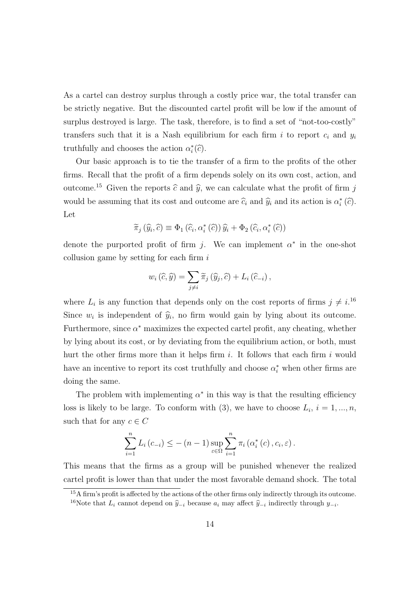As a cartel can destroy surplus through a costly price war, the total transfer can be strictly negative. But the discounted cartel profit will be low if the amount of surplus destroyed is large. The task, therefore, is to find a set of "not-too-costly" transfers such that it is a Nash equilibrium for each firm i to report  $c_i$  and  $y_i$ truthfully and chooses the action  $\alpha_i^*(\hat{c})$ .

Our basic approach is to tie the transfer of a firm to the profits of the other firms. Recall that the profit of a firm depends solely on its own cost, action, and outcome.<sup>15</sup> Given the reports  $\hat{c}$  and  $\hat{y}$ , we can calculate what the profit of firm j would be assuming that its cost and outcome are  $\hat{c}_i$  and  $\hat{y}_i$  and its action is  $\alpha_i^{\ast}(\hat{c})$ . Let

$$
\widetilde{\pi}_{j}(\widehat{y}_{i},\widehat{c}) \equiv \Phi_{1}(\widehat{c}_{i},\alpha_{i}^{*}(\widehat{c})) \widehat{y}_{i} + \Phi_{2}(\widehat{c}_{i},\alpha_{i}^{*}(\widehat{c}))
$$

denote the purported profit of firm j. We can implement  $\alpha^*$  in the one-shot collusion game by setting for each firm i

$$
w_i\left(\widehat{c},\widehat{y}\right) = \sum_{j\neq i} \widetilde{\pi}_j\left(\widehat{y}_j,\widehat{c}\right) + L_i\left(\widehat{c}_{-i}\right),
$$

where  $L_i$  is any function that depends only on the cost reports of firms  $j \neq i$ .<sup>16</sup> Since  $w_i$  is independent of  $\hat{y}_i$ , no firm would gain by lying about its outcome. Furthermore, since  $\alpha^*$  maximizes the expected cartel profit, any cheating, whether by lying about its cost, or by deviating from the equilibrium action, or both, must hurt the other firms more than it helps firm  $i$ . It follows that each firm  $i$  would have an incentive to report its cost truthfully and choose  $\alpha_i^*$  when other firms are doing the same.

The problem with implementing  $\alpha^*$  in this way is that the resulting efficiency loss is likely to be large. To conform with (3), we have to choose  $L_i$ ,  $i = 1, ..., n$ , such that for any  $c \in C$ 

$$
\sum_{i=1}^{n} L_i(c_{-i}) \leq -(n-1) \sup_{\varepsilon \in \Omega} \sum_{i=1}^{n} \pi_i(\alpha_i^*(c), c_i, \varepsilon).
$$

This means that the firms as a group will be punished whenever the realized cartel profit is lower than that under the most favorable demand shock. The total

<sup>&</sup>lt;sup>15</sup>A firm's profit is affected by the actions of the other firms only indirectly through its outcome. <sup>16</sup>Note that  $L_i$  cannot depend on  $\hat{y}_{-i}$  because  $a_i$  may affect  $\hat{y}_{-i}$  indirectly through  $y_{-i}$ .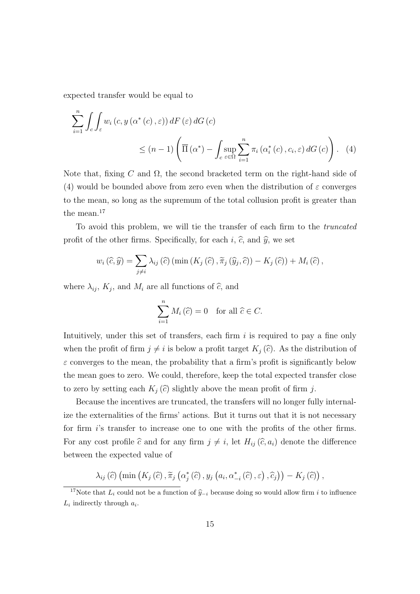expected transfer would be equal to

$$
\sum_{i=1}^{n} \int_{c} \int_{\varepsilon} w_{i} (c, y (\alpha^{*} (c), \varepsilon)) dF(\varepsilon) dG(c)
$$
  

$$
\leq (n-1) \left( \overline{\Pi} (\alpha^{*}) - \int_{c} \sup_{\varepsilon \in \Omega} \sum_{i=1}^{n} \pi_{i} (\alpha_{i}^{*} (c), c_{i}, \varepsilon) dG(c) \right). (4)
$$

Note that, fixing C and  $\Omega$ , the second bracketed term on the right-hand side of (4) would be bounded above from zero even when the distribution of  $\varepsilon$  converges to the mean, so long as the supremum of the total collusion profit is greater than the mean.<sup>17</sup>

To avoid this problem, we will tie the transfer of each firm to the truncated profit of the other firms. Specifically, for each i,  $\hat{c}$ , and  $\hat{y}$ , we set

$$
w_i(\widehat{c}, \widehat{y}) = \sum_{j \neq i} \lambda_{ij}(\widehat{c}) \left( \min(K_j(\widehat{c}), \widetilde{\pi}_j(\widehat{y}_j, \widehat{c})) - K_j(\widehat{c}) \right) + M_i(\widehat{c}),
$$

where  $\lambda_{ij}$ ,  $K_j$ , and  $M_i$  are all functions of  $\widehat{c}$ , and

$$
\sum_{i=1}^{n} M_i(\widehat{c}) = 0 \text{ for all } \widehat{c} \in C.
$$

Intuitively, under this set of transfers, each firm  $i$  is required to pay a fine only when the profit of firm  $j \neq i$  is below a profit target  $K_j(\hat{c})$ . As the distribution of  $\varepsilon$  converges to the mean, the probability that a firm's profit is significantly below the mean goes to zero. We could, therefore, keep the total expected transfer close to zero by setting each  $K_i(\hat{c})$  slightly above the mean profit of firm j.

Because the incentives are truncated, the transfers will no longer fully internalize the externalities of the firms' actions. But it turns out that it is not necessary for firm i's transfer to increase one to one with the profits of the other firms. For any cost profile  $\hat{c}$  and for any firm  $j \neq i$ , let  $H_{ij} (\hat{c}, a_i)$  denote the difference between the expected value of

$$
\lambda_{ij}(\widehat{c})\left(\min\left(K_j\left(\widehat{c}\right),\widetilde{\pi}_j\left(\alpha_j^*\left(\widehat{c}\right),y_j\left(a_i,\alpha_{-i}^*\left(\widehat{c}\right),\varepsilon\right),\widehat{c}_j\right)\right)-K_j\left(\widehat{c}\right)\right),\,
$$

<sup>&</sup>lt;sup>17</sup>Note that  $L_i$  could not be a function of  $\hat{y}_{-i}$  because doing so would allow firm i to influence  $L_i$  indirectly through  $a_i$ .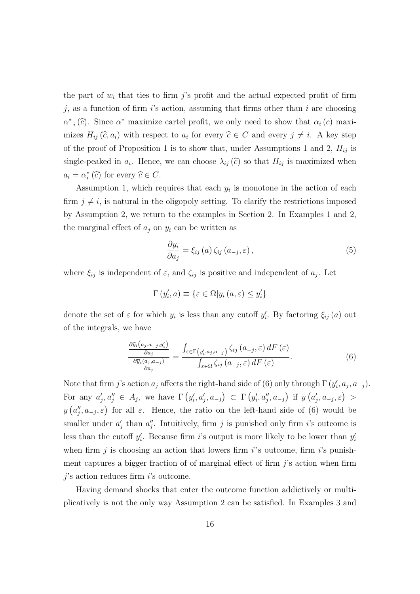the part of  $w_i$  that ties to firm j's profit and the actual expected profit of firm j, as a function of firm is action, assuming that firms other than i are choosing  $\alpha_{-i}^*(\hat{c})$ . Since  $\alpha^*$  maximize cartel profit, we only need to show that  $\alpha_i(c)$  maximizes  $H_{ij}(\hat{c}, a_i)$  with respect to  $a_i$  for every  $\hat{c} \in C$  and every  $j \neq i$ . A key step of the proof of Proposition 1 is to show that, under Assumptions 1 and 2,  $H_{ij}$  is single-peaked in  $a_i$ . Hence, we can choose  $\lambda_{ij}(\hat{c})$  so that  $H_{ij}$  is maximized when  $a_i = \alpha_i^* (\widehat{c})$  for every  $\widehat{c} \in C$ .

Assumption 1, which requires that each  $y_i$  is monotone in the action of each firm  $j \neq i$ , is natural in the oligopoly setting. To clarify the restrictions imposed by Assumption 2, we return to the examples in Section 2. In Examples 1 and 2, the marginal effect of  $a_i$  on  $y_i$  can be written as

$$
\frac{\partial y_i}{\partial a_j} = \xi_{ij} \left( a \right) \zeta_{ij} \left( a_{-j}, \varepsilon \right), \tag{5}
$$

where  $\xi_{ij}$  is independent of  $\varepsilon$ , and  $\zeta_{ij}$  is positive and independent of  $a_j$ . Let

$$
\Gamma(y_i', a) \equiv \{ \varepsilon \in \Omega | y_i(a, \varepsilon) \le y_i' \}
$$

denote the set of  $\varepsilon$  for which  $y_i$  is less than any cutoff  $y'_i$ . By factoring  $\xi_{ij}(a)$  out of the integrals, we have

$$
\frac{\frac{\partial \widetilde{y}_{i}(a_{j}, a_{-j}, y_{i}^{\prime})}{\partial a_{j}}}{\frac{\partial \overline{y}_{i}(a_{j}, a_{-j})}{\partial a_{j}}} = \frac{\int_{\varepsilon \in \Gamma\left(y_{i}^{\prime}, a_{j}, a_{-j}\right)} \zeta_{ij}\left(a_{-j}, \varepsilon\right) dF\left(\varepsilon\right)}{\int_{\varepsilon \in \Omega} \zeta_{ij}\left(a_{-j}, \varepsilon\right) dF\left(\varepsilon\right)}.\tag{6}
$$

Note that firm j's action  $a_j$  affects the right-hand side of (6) only through  $\Gamma(y'_i, a_j, a_{-j})$ . For any  $a'_j, a''_j \in A_j$ , we have  $\Gamma(y'_i, a'_j, a_{-j}) \subset \Gamma(y'_i, a''_j, a_{-j})$  if  $y(a'_j, a_{-j}, \varepsilon) >$  $y(a''_j, a_{-j}, \varepsilon)$  for all  $\varepsilon$ . Hence, the ratio on the left-hand side of (6) would be smaller under  $a'_j$  than  $a''_j$ . Intuitively, firm j is punished only firm i's outcome is less than the cutoff  $y'_i$ . Because firm i's output is more likely to be lower than  $y'_i$ when firm j is choosing an action that lowers firm  $i$ 's outcome, firm  $i$ 's punishment captures a bigger fraction of of marginal effect of firm  $j$ 's action when firm  $i$ 's action reduces firm  $i$ 's outcome.

Having demand shocks that enter the outcome function addictively or multiplicatively is not the only way Assumption 2 can be satisfied. In Examples 3 and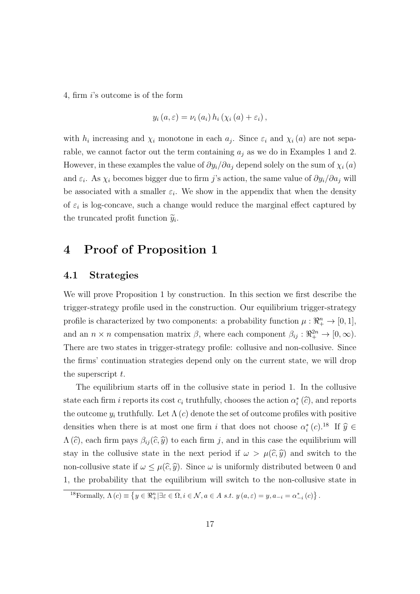4, firm i's outcome is of the form

$$
y_i(a,\varepsilon) = \nu_i(a_i) h_i(\chi_i(a) + \varepsilon_i),
$$

with  $h_i$  increasing and  $\chi_i$  monotone in each  $a_j$ . Since  $\varepsilon_i$  and  $\chi_i(a)$  are not separable, we cannot factor out the term containing  $a_i$  as we do in Examples 1 and 2. However, in these examples the value of  $\partial y_i/\partial a_j$  depend solely on the sum of  $\chi_i(a)$ and  $\varepsilon_i$ . As  $\chi_i$  becomes bigger due to firm j's action, the same value of  $\partial y_i/\partial a_j$  will be associated with a smaller  $\varepsilon_i$ . We show in the appendix that when the density of  $\varepsilon_i$  is log-concave, such a change would reduce the marginal effect captured by the truncated profit function  $\widetilde{y}_i$ .

# 4 Proof of Proposition 1

#### 4.1 Strategies

We will prove Proposition 1 by construction. In this section we first describe the trigger-strategy profile used in the construction. Our equilibrium trigger-strategy profile is characterized by two components: a probability function  $\mu : \mathbb{R}^n_+ \to [0, 1],$ and an  $n \times n$  compensation matrix  $\beta$ , where each component  $\beta_{ij} : \mathbb{R}^{2n}_+ \to [0, \infty)$ . There are two states in trigger-strategy profile: collusive and non-collusive. Since the firms' continuation strategies depend only on the current state, we will drop the superscript  $t$ .

The equilibrium starts off in the collusive state in period 1. In the collusive state each firm *i* reports its cost  $c_i$  truthfully, chooses the action  $\alpha_i^* (\hat{c})$ , and reports the outcome  $y_i$  truthfully. Let  $\Lambda(c)$  denote the set of outcome profiles with positive densities when there is at most one firm i that does not choose  $\alpha_i^*(c)$ .<sup>18</sup> If  $\widehat{y} \in$  $\Lambda(\hat{c})$ , each firm pays  $\beta_{ij}(\hat{c}, \hat{y})$  to each firm j, and in this case the equilibrium will stay in the collusive state in the next period if  $\omega > \mu(\hat{c}, \hat{y})$  and switch to the non-collusive state if  $\omega \leq \mu(\widehat{c}, \widehat{\eta})$ . Since  $\omega$  is uniformly distributed between 0 and 1, the probability that the equilibrium will switch to the non-collusive state in

<sup>&</sup>lt;sup>18</sup>Formally,  $\Lambda(c) \equiv \{ y \in \Re^n_+ | \exists \varepsilon \in \Omega, i \in \mathcal{N}, a \in A \text{ s.t. } y(a, \varepsilon) = y, a_{-i} = \alpha^*_{-i}(c) \}.$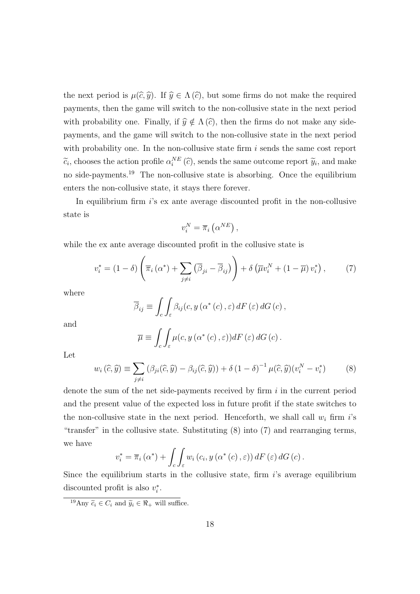the next period is  $\mu(\widehat{c}, \widehat{y})$ . If  $\widehat{y} \in \Lambda(\widehat{c})$ , but some firms do not make the required payments, then the game will switch to the non-collusive state in the next period with probability one. Finally, if  $\hat{y} \notin \Lambda(\hat{c})$ , then the firms do not make any sidepayments, and the game will switch to the non-collusive state in the next period with probability one. In the non-collusive state firm  $i$  sends the same cost report  $\tilde{c}_i$ , chooses the action profile  $\alpha_i^{NE}(\hat{c})$ , sends the same outcome report  $\tilde{y}_i$ , and make no side-payments.<sup>19</sup> The non-collusive state is absorbing. Once the equilibrium enters the non-collusive state, it stays there forever.

In equilibrium firm i's ex ante average discounted profit in the non-collusive state is

$$
v_i^N = \overline{\pi}_i\left(\alpha^{NE}\right),
$$

while the ex ante average discounted profit in the collusive state is

$$
v_i^* = (1 - \delta) \left( \overline{\pi}_i \left( \alpha^* \right) + \sum_{j \neq i} \left( \overline{\beta}_{ji} - \overline{\beta}_{ij} \right) \right) + \delta \left( \overline{\mu} v_i^N + (1 - \overline{\mu}) v_i^* \right), \tag{7}
$$

where

$$
\overline{\beta}_{ij} \equiv \int_c \int_{\varepsilon} \beta_{ij}(c, y(\alpha^*(c), \varepsilon) dF(\varepsilon) dG(c),
$$

and

$$
\overline{\mu} \equiv \int_c \int_{\varepsilon} \mu(c, y(\alpha^*(c), \varepsilon)) dF(\varepsilon) dG(c).
$$

Let

$$
w_i(\widehat{c}, \widehat{y}) \equiv \sum_{j \neq i} \left( \beta_{ji}(\widehat{c}, \widehat{y}) - \beta_{ij}(\widehat{c}, \widehat{y}) \right) + \delta \left( 1 - \delta \right)^{-1} \mu(\widehat{c}, \widehat{y}) \left( v_i^N - v_i^* \right) \tag{8}
$$

denote the sum of the net side-payments received by firm  $i$  in the current period and the present value of the expected loss in future profit if the state switches to the non-collusive state in the next period. Henceforth, we shall call  $w_i$  firm  $i$ 's "transfer" in the collusive state. Substituting (8) into (7) and rearranging terms, we have

$$
v_i^* = \overline{\pi}_i(\alpha^*) + \int_c \int_{\varepsilon} w_i(c_i, y(\alpha^*(c), \varepsilon)) dF(\varepsilon) dG(c).
$$

Since the equilibrium starts in the collusive state, firm  $i$ 's average equilibrium discounted profit is also  $v_i^*$ .

<sup>&</sup>lt;sup>19</sup>Any  $\widetilde{c}_i \in C_i$  and  $\widetilde{y}_i \in \Re_+$  will suffice.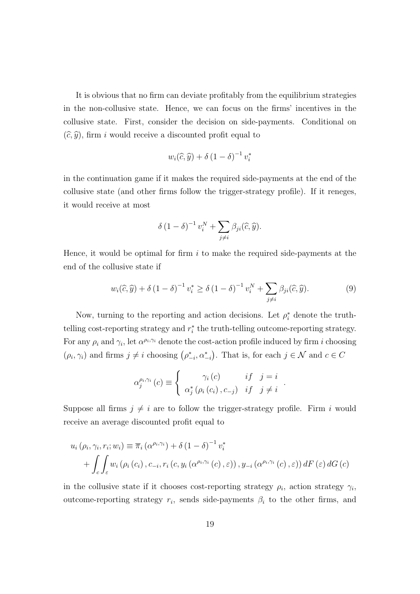It is obvious that no firm can deviate profitably from the equilibrium strategies in the non-collusive state. Hence, we can focus on the firms' incentives in the collusive state. First, consider the decision on side-payments. Conditional on  $(\widehat{c}, \widehat{y})$ , firm i would receive a discounted profit equal to

$$
w_i(\widehat{c}, \widehat{y}) + \delta (1 - \delta)^{-1} v_i^*
$$

in the continuation game if it makes the required side-payments at the end of the collusive state (and other firms follow the trigger-strategy profile). If it reneges, it would receive at most

$$
\delta (1 - \delta)^{-1} v_i^N + \sum_{j \neq i} \beta_{ji}(\widehat{c}, \widehat{y}).
$$

Hence, it would be optimal for firm  $i$  to make the required side-payments at the end of the collusive state if

$$
w_i(\widehat{c}, \widehat{y}) + \delta (1 - \delta)^{-1} v_i^* \ge \delta (1 - \delta)^{-1} v_i^N + \sum_{j \ne i} \beta_{ji}(\widehat{c}, \widehat{y}). \tag{9}
$$

.

Now, turning to the reporting and action decisions. Let  $\rho_i^*$  denote the truthtelling cost-reporting strategy and  $r_i^*$  the truth-telling outcome-reporting strategy. For any  $\rho_i$  and  $\gamma_i$ , let  $\alpha^{\rho_i,\gamma_i}$  denote the cost-action profile induced by firm i choosing  $(\rho_i, \gamma_i)$  and firms  $j \neq i$  choosing  $(\rho_{-i}^*, \alpha_{-i}^*)$ . That is, for each  $j \in \mathcal{N}$  and  $c \in C$ 

$$
\alpha_j^{\rho_i,\gamma_i}(c) \equiv \begin{cases} \gamma_i(c) & if \quad j = i \\ \alpha_j^* \left( \rho_i(c_i), c_{-j} \right) & if \quad j \neq i \end{cases}
$$

Suppose all firms  $j \neq i$  are to follow the trigger-strategy profile. Firm i would receive an average discounted profit equal to

$$
u_i(\rho_i, \gamma_i, r_i; w_i) \equiv \overline{\pi}_i (\alpha^{\rho_i, \gamma_i}) + \delta (1 - \delta)^{-1} v_i^*
$$
  
+ 
$$
\int_c \int_{\varepsilon} w_i (\rho_i (c_i), c_{-i}, r_i (c, y_i (\alpha^{\rho_i, \gamma_i} (c), \varepsilon)), y_{-i} (\alpha^{\rho_i, \gamma_i} (c), \varepsilon)) dF(\varepsilon) dG(c)
$$

in the collusive state if it chooses cost-reporting strategy  $\rho_i$ , action strategy  $\gamma_i$ , outcome-reporting strategy  $r_i$ , sends side-payments  $\beta_i$  to the other firms, and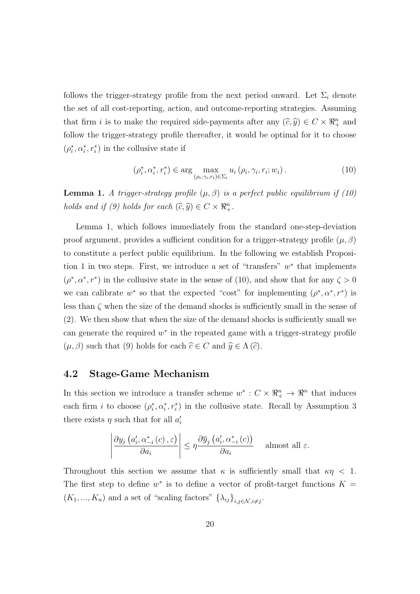follows the trigger-strategy profile from the next period onward. Let  $\Sigma_i$  denote the set of all cost-reporting, action, and outcome-reporting strategies. Assuming that firm *i* is to make the required side-payments after any  $(\widehat{c}, \widehat{y}) \in C \times \mathbb{R}^n_+$  and follow the trigger-strategy profile thereafter, it would be optimal for it to choose  $(\rho_i^*,\alpha_i^*,r_i^*)$  in the collusive state if

$$
(\rho_i^*, \alpha_i^*, r_i^*) \in \arg\max_{(\rho_i, \gamma_i, r_i) \in \Sigma_i} u_i(\rho_i, \gamma_i, r_i; w_i).
$$
 (10)

**Lemma 1.** A trigger-strategy profile  $(\mu, \beta)$  is a perfect public equilibrium if (10) holds and if (9) holds for each  $(\widehat{c}, \widehat{y}) \in C \times \mathbb{R}^n_+$ .

Lemma 1, which follows immediately from the standard one-step-deviation proof argument, provides a sufficient condition for a trigger-strategy profile  $(\mu, \beta)$ to constitute a perfect public equilibrium. In the following we establish Proposition 1 in two steps. First, we introduce a set of "transfers"  $w^*$  that implements  $(\rho^*, \alpha^*, r^*)$  in the collusive state in the sense of (10), and show that for any  $\zeta > 0$ we can calibrate  $w^*$  so that the expected "cost" for implementing  $(\rho^*, \alpha^*, r^*)$  is less than  $\zeta$  when the size of the demand shocks is sufficiently small in the sense of (2). We then show that when the size of the demand shocks is sufficiently small we can generate the required  $w^*$  in the repeated game with a trigger-strategy profile  $(\mu, \beta)$  such that (9) holds for each  $\widehat{c} \in C$  and  $\widehat{y} \in \Lambda(\widehat{c})$ .

#### 4.2 Stage-Game Mechanism

In this section we introduce a transfer scheme  $w^*: C \times \mathbb{R}^n_+ \to \mathbb{R}^n$  that induces each firm *i* to choose  $(\rho_i^*, \alpha_i^*, r_i^*)$  in the collusive state. Recall by Assumption 3 there exists  $\eta$  such that for all  $a_i'$ 

$$
\left| \frac{\partial y_j\left(a'_i, \alpha^*_{-i}(c), \varepsilon\right)}{\partial a_i} \right| \leq \eta \frac{\partial \overline{y}_j\left(a'_i, \alpha^*_{-i}(c)\right)}{\partial a_i} \quad \text{almost all } \varepsilon.
$$

Throughout this section we assume that  $\kappa$  is sufficiently small that  $\kappa \eta$  < 1. The first step to define  $w^*$  is to define a vector of profit-target functions  $K =$  $(K_1, ..., K_n)$  and a set of "scaling factors"  $\{\lambda_{ij}\}_{i,j\in\mathcal{N}, i\neq j}$ .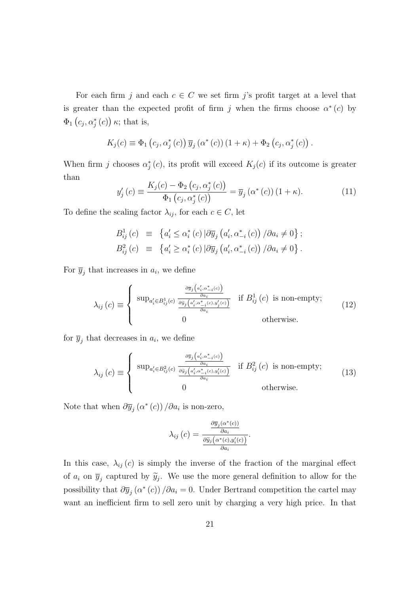For each firm j and each  $c \in C$  we set firm j's profit target at a level that is greater than the expected profit of firm j when the firms choose  $\alpha^*(c)$  by  $\Phi_1\left(c_j,\alpha_j^*\left(c\right)\right)\kappa$ ; that is,

$$
K_j(c) \equiv \Phi_1(c_j, \alpha_j^*(c)) \overline{y}_j(\alpha^*(c)) (1 + \kappa) + \Phi_2(c_j, \alpha_j^*(c)).
$$

When firm j chooses  $\alpha_j^*(c)$ , its profit will exceed  $K_j(c)$  if its outcome is greater than

$$
y'_{j}(c) \equiv \frac{K_{j}(c) - \Phi_{2}(c_{j}, \alpha_{j}^{*}(c))}{\Phi_{1}(c_{j}, \alpha_{j}^{*}(c))} = \overline{y}_{j}(\alpha^{*}(c)) (1 + \kappa).
$$
 (11)

To define the scaling factor  $\lambda_{ij}$ , for each  $c \in C$ , let

$$
B_{ij}^1(c) \equiv \left\{ a_i' \le \alpha_i^*(c) \left| \partial \overline{y}_j \left( a_i', \alpha_{-i}^*(c) \right) / \partial a_i \neq 0 \right\};\right\}
$$
  

$$
B_{ij}^2(c) \equiv \left\{ a_i' \ge \alpha_i^*(c) \left| \partial \overline{y}_j \left( a_i', \alpha_{-i}^*(c) \right) / \partial a_i \neq 0 \right\} \right\}.
$$

For  $\overline{y}_j$  that increases in  $a_i$ , we define

$$
\lambda_{ij}(c) \equiv \begin{cases} \sup_{a'_i \in B_{ij}^1(c)} \frac{\frac{\partial \overline{y}_j(a'_i, \alpha^*_{-i}(c))}{\partial a_i}}{\frac{\partial \overline{y}_j(a'_i, \alpha^*_{-i}(c), y'_j(c))}{\partial a_i}} & \text{if } B_{ij}^1(c) \text{ is non-empty;}\\ 0 & \text{otherwise.} \end{cases}
$$
(12)

for  $\overline{y}_j$  that decreases in  $a_i$ , we define

$$
\lambda_{ij}(c) \equiv \begin{cases} \sup_{a'_i \in B_{ij}^2(c)} \frac{\frac{\partial \overline{y}_j\left(a'_i, \alpha^*_{-i}(c)\right)}{\partial a_i}}{\frac{\partial \overline{y}_j\left(a'_i, \alpha^*_{-i}(c), y'_i(c)\right)}{\partial a_i}} & \text{if } B_{ij}^2(c) \text{ is non-empty;}\\ 0 & \text{otherwise.} \end{cases}
$$
(13)

Note that when  $\partial \overline{y}_j(\alpha^*(c)) / \partial a_i$  is non-zero,

$$
\lambda_{ij}(c) = \frac{\frac{\partial \overline{y}_j(\alpha^*(c))}{\partial a_i}}{\frac{\partial \widetilde{y}_j(\alpha^*(c), y'_i(c))}{\partial a_i}}.
$$

In this case,  $\lambda_{ij}(c)$  is simply the inverse of the fraction of the marginal effect of  $a_i$  on  $\overline{y}_j$  captured by  $\widetilde{y}_j$ . We use the more general definition to allow for the possibility that  $\partial \overline{y}_j(\alpha^*(c)) / \partial a_i = 0$ . Under Bertrand competition the cartel may want an inefficient firm to sell zero unit by charging a very high price. In that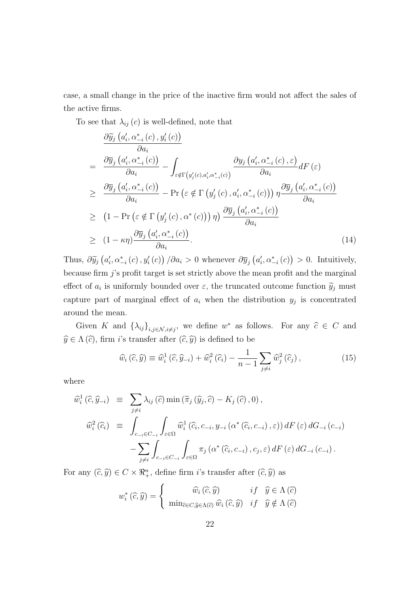case, a small change in the price of the inactive firm would not affect the sales of the active firms.

To see that  $\lambda_{ij}(c)$  is well-defined, note that

$$
\frac{\partial \widetilde{y}_{j} (a'_{i}, \alpha^{*}_{-i}(c), y'_{i}(c))}{\partial a_{i}} \n= \frac{\partial \overline{y}_{j} (a'_{i}, \alpha^{*}_{-i}(c))}{\partial a_{i}} - \int_{\varepsilon \notin \Gamma(y'_{j}(c), a'_{i}, \alpha^{*}_{-i}(c))} \frac{\partial y_{j} (a'_{i}, \alpha^{*}_{-i}(c), \varepsilon)}{\partial a_{i}} dF(\varepsilon) \n\geq \frac{\partial \overline{y}_{j} (a'_{i}, \alpha^{*}_{-i}(c))}{\partial a_{i}} - \Pr(\varepsilon \notin \Gamma(y'_{j}(c), a'_{i}, \alpha^{*}_{-i}(c))) \eta \frac{\partial \overline{y}_{j} (a'_{i}, \alpha^{*}_{-i}(c))}{\partial a_{i}} \n\geq (1 - \Pr(\varepsilon \notin \Gamma(y'_{j}(c), \alpha^{*}(c))) \eta) \frac{\partial \overline{y}_{j} (a'_{i}, \alpha^{*}_{-i}(c))}{\partial a_{i}} \n\geq (1 - \kappa \eta) \frac{\partial \overline{y}_{j} (a'_{i}, \alpha^{*}_{-i}(c))}{\partial a_{i}}.
$$
\n(14)

Thus,  $\partial \widetilde{y}_j(a'_i, \alpha^*_{-i}(c), y'_i(c)) / \partial a_i > 0$  whenever  $\partial \overline{y}_j(a'_i, \alpha^*_{-i}(c)) > 0$ . Intuitively, because firm  $j$ 's profit target is set strictly above the mean profit and the marginal effect of  $a_i$  is uniformly bounded over  $\varepsilon$ , the truncated outcome function  $\widetilde{y}_j$  must capture part of marginal effect of  $a_i$  when the distribution  $y_j$  is concentrated around the mean.

Given K and  $\{\lambda_{ij}\}_{i,j\in\mathcal{N},i\neq j}$ , we define  $w^*$  as follows. For any  $\hat{c} \in C$  and  $\widehat{y} \in \Lambda(\widehat{c})$ , firm *i*'s transfer after  $(\widehat{c}, \widehat{y})$  is defined to be

$$
\widehat{w}_i\left(\widehat{c},\widehat{y}\right) \equiv \widehat{w}_i^1\left(\widehat{c},\widehat{y}_{-i}\right) + \widehat{w}_i^2\left(\widehat{c}_i\right) - \frac{1}{n-1} \sum_{j \neq i} \widehat{w}_j^2\left(\widehat{c}_j\right),\tag{15}
$$

where

$$
\widehat{w}_{i}^{1}(\widehat{c},\widehat{y}_{-i}) = \sum_{j\neq i} \lambda_{ij}(\widehat{c}) \min\left(\widetilde{\pi}_{j}(\widehat{y}_{j},\widehat{c}) - K_{j}(\widehat{c}),0\right),
$$
  

$$
\widehat{w}_{i}^{2}(\widehat{c}_{i}) = \int_{c_{-i}\in C_{-i}} \int_{\varepsilon\in\Omega} \widehat{w}_{i}^{1}(\widehat{c}_{i},c_{-i},y_{-i}(\alpha^{*}(\widehat{c}_{i},c_{-i}),\varepsilon)) dF(\varepsilon) dG_{-i}(c_{-i})
$$

$$
-\sum_{j\neq i} \int_{c_{-i}\in C_{-i}} \int_{\varepsilon\in\Omega} \pi_{j}(\alpha^{*}(\widehat{c}_{i},c_{-i}),c_{j},\varepsilon) dF(\varepsilon) dG_{-i}(c_{-i}).
$$

For any  $(\widehat{c}, \widehat{y}) \in C \times \Re^n_+$ , define firm *i*'s transfer after  $(\widehat{c}, \widehat{y})$  as

$$
w_i^*(\widehat{c}, \widehat{y}) = \begin{cases} \widehat{w}_i(\widehat{c}, \widehat{y}) & if \quad \widehat{y} \in \Lambda(\widehat{c}) \\ \min_{\widehat{c} \in C, \widehat{y} \in \Lambda(\widehat{c})} \widehat{w}_i(\widehat{c}, \widehat{y}) & if \quad \widehat{y} \notin \Lambda(\widehat{c}) \end{cases}
$$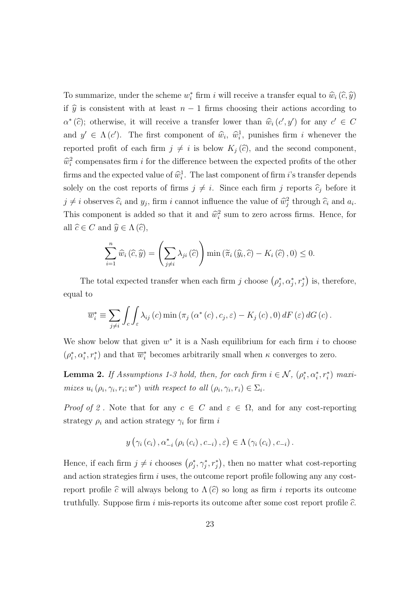To summarize, under the scheme  $w_i^*$  firm i will receive a transfer equal to  $\widehat{w}_i(\widehat{c}, \widehat{y})$ if  $\hat{y}$  is consistent with at least  $n - 1$  firms choosing their actions according to  $\alpha^*(\hat{c})$ ; otherwise, it will receive a transfer lower than  $\hat{w}_i(c', y')$  for any  $c' \in C$ and  $y' \in \Lambda(c')$ . The first component of  $\hat{w}_i$ ,  $\hat{w}_i^1$ , punishes firm i whenever the reported profit of each firm  $j \neq i$  is below  $K_j(\hat{c})$ , and the second component,  $\hat{w}_i^2$  compensates firm *i* for the difference between the expected profits of the other firms and the expected value of  $\hat{w}_i^1$ . The last component of firm *i*'s transfer depends solely on the cost reports of firms  $j \neq i$ . Since each firm j reports  $\hat{c}_j$  before it  $j \neq i$  observes  $\widehat{c}_i$  and  $y_j$ , firm i cannot influence the value of  $\widehat{w}_j^2$  through  $\widehat{c}_i$  and  $a_i$ . This component is added so that it and  $\hat{w}_i^2$  sum to zero across firms. Hence, for all  $\widehat{c} \in C$  and  $\widehat{y} \in \Lambda(\widehat{c})$ ,

$$
\sum_{i=1}^{n} \widehat{w}_{i}(\widehat{c}, \widehat{y}) = \left(\sum_{j \neq i} \lambda_{ji}(\widehat{c})\right) \min\left(\widetilde{\pi}_{i}(\widehat{y}_{i}, \widehat{c}) - K_{i}(\widehat{c}), 0\right) \leq 0.
$$

The total expected transfer when each firm j choose  $(\rho_j^*, \alpha_j^*, r_j^*)$  is, therefore, equal to

$$
\overline{w}_{i}^{*} \equiv \sum_{j \neq i} \int_{c} \int_{\varepsilon} \lambda_{ij} \left( c \right) \min \left( \pi_{j} \left( \alpha^{*} \left( c \right), c_{j}, \varepsilon \right) - K_{j} \left( c \right), 0 \right) dF \left( \varepsilon \right) dG \left( c \right).
$$

We show below that given  $w^*$  it is a Nash equilibrium for each firm i to choose  $(\rho_i^*, \alpha_i^*, r_i^*)$  and that  $\overline{w}_i^*$  becomes arbitrarily small when  $\kappa$  converges to zero.

**Lemma 2.** If Assumptions 1-3 hold, then, for each firm  $i \in \mathcal{N}$ ,  $(\rho_i^*, \alpha_i^*, r_i^*)$  maximizes  $u_i(\rho_i, \gamma_i, r_i; w^*)$  with respect to all  $(\rho_i, \gamma_i, r_i) \in \Sigma_i$ .

*Proof of 2*. Note that for any  $c \in C$  and  $\varepsilon \in \Omega$ , and for any cost-reporting strategy  $\rho_i$  and action strategy  $\gamma_i$  for firm i

$$
y\left(\gamma_i\left(c_i\right),\alpha_{-i}^*\left(\rho_i\left(c_i\right),c_{-i}\right),\varepsilon\right)\in\Lambda\left(\gamma_i\left(c_i\right),c_{-i}\right).
$$

Hence, if each firm  $j \neq i$  chooses  $(\rho_j^*, \gamma_j^*, r_j^*)$ , then no matter what cost-reporting and action strategies firm  $i$  uses, the outcome report profile following any any costreport profile  $\hat{c}$  will always belong to  $\Lambda(\hat{c})$  so long as firm i reports its outcome truthfully. Suppose firm i mis-reports its outcome after some cost report profile  $\hat{c}$ .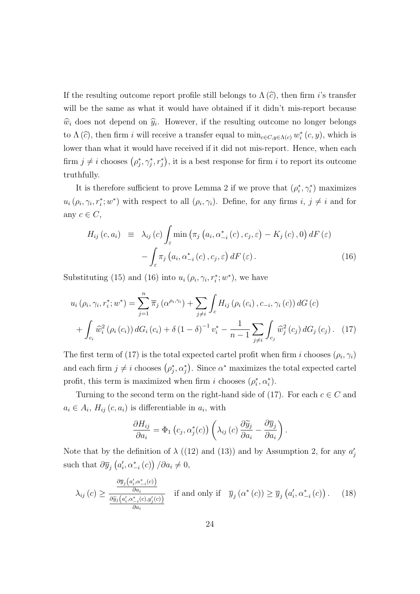If the resulting outcome report profile still belongs to  $\Lambda(\hat{c})$ , then firm i's transfer will be the same as what it would have obtained if it didn't mis-report because  $\hat{w}_i$  does not depend on  $\hat{y}_i$ . However, if the resulting outcome no longer belongs to  $\Lambda(\hat{c})$ , then firm i will receive a transfer equal to  $\min_{c \in C, y \in \Lambda(c)} w_i^*(c, y)$ , which is lower than what it would have received if it did not mis-report. Hence, when each firm  $j \neq i$  chooses  $(\rho_j^*, \gamma_j^*, r_j^*)$ , it is a best response for firm i to report its outcome truthfully.

It is therefore sufficient to prove Lemma 2 if we prove that  $(\rho_i^*, \gamma_i^*)$  maximizes  $u_i(\rho_i, \gamma_i, r_i^*; w^*)$  with respect to all  $(\rho_i, \gamma_i)$ . Define, for any firms  $i, j \neq i$  and for any  $c \in C$ ,

$$
H_{ij}(c, a_i) \equiv \lambda_{ij}(c) \int_{\varepsilon} \min \left( \pi_j \left( a_i, \alpha_{-i}^*(c), c_j, \varepsilon \right) - K_j(c), 0 \right) dF(\varepsilon)
$$

$$
- \int_{\varepsilon} \pi_j \left( a_i, \alpha_{-i}^*(c), c_j, \varepsilon \right) dF(\varepsilon).
$$
(16)

Substituting (15) and (16) into  $u_i$  ( $\rho_i$ ,  $\gamma_i$ ,  $r_i^*$ ;  $w^*$ ), we have

$$
u_{i}(\rho_{i}, \gamma_{i}, r_{i}^{*}; w^{*}) = \sum_{j=1}^{n} \overline{\pi}_{j} (\alpha^{\rho_{i}, \gamma_{i}}) + \sum_{j \neq i} \int_{c} H_{ij} (\rho_{i} (c_{i}), c_{-i}, \gamma_{i} (c)) dG(c) + \int_{c_{i}} \widehat{w}_{i}^{2} (\rho_{i} (c_{i})) dG_{i} (c_{i}) + \delta (1 - \delta)^{-1} v_{i}^{*} - \frac{1}{n-1} \sum_{j \neq i} \int_{c_{j}} \widehat{w}_{j}^{2} (c_{j}) dG_{j} (c_{j}). \quad (17)
$$

The first term of (17) is the total expected cartel profit when firm i chooses  $(\rho_i, \gamma_i)$ and each firm  $j \neq i$  chooses  $(\rho_j^*, \alpha_j^*)$ . Since  $\alpha^*$  maximizes the total expected cartel profit, this term is maximized when firm i chooses  $(\rho_i^*, \alpha_i^*)$ .

Turning to the second term on the right-hand side of (17). For each  $c \in C$  and  $a_i \in A_i$ ,  $H_{ij}(c, a_i)$  is differentiable in  $a_i$ , with

$$
\frac{\partial H_{ij}}{\partial a_i} = \Phi_1 \left( c_j, \alpha_j^*(c) \right) \left( \lambda_{ij} \left( c \right) \frac{\partial \widetilde{y}_j}{\partial a_i} - \frac{\partial \overline{y}_j}{\partial a_i} \right)
$$

.

Note that by the definition of  $\lambda$  ((12) and (13)) and by Assumption 2, for any  $a'_j$ such that  $\partial \overline{y}_j(a'_i, \alpha^*_{-i}(c)) / \partial a_i \neq 0$ ,

$$
\lambda_{ij}(c) \ge \frac{\frac{\partial \overline{y}_j(a'_i, \alpha^*_{-i}(c))}{\partial a_i}}{\frac{\partial \overline{y}_j(a'_i, \alpha^*_{-i}(c), y'_j(c))}{\partial a_i}} \quad \text{if and only if} \quad \overline{y}_j(\alpha^*(c)) \ge \overline{y}_j(a'_i, \alpha^*_{-i}(c)) \,. \tag{18}
$$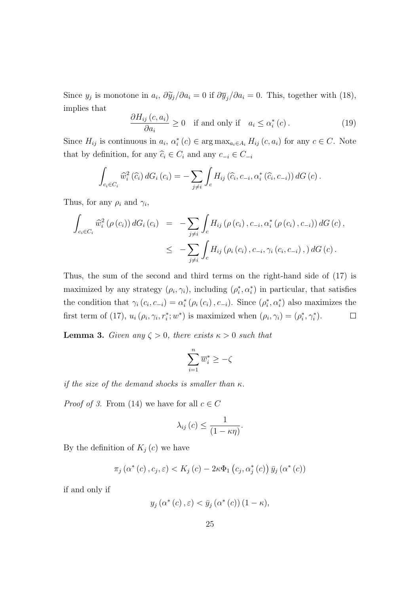Since  $y_j$  is monotone in  $a_i$ ,  $\frac{\partial \widetilde{y}_j}{\partial a_i} = 0$  if  $\frac{\partial \overline{y}_j}{\partial a_i} = 0$ . This, together with (18), implies that

$$
\frac{\partial H_{ij}(c, a_i)}{\partial a_i} \ge 0 \quad \text{if and only if} \quad a_i \le \alpha_i^*(c). \tag{19}
$$

Since  $H_{ij}$  is continuous in  $a_i$ ,  $\alpha_i^*(c) \in \arg \max_{a_i \in A_i} H_{ij}(c, a_i)$  for any  $c \in C$ . Note that by definition, for any  $\widehat{c}_i \in C_i$  and any  $c_{-i} \in C_{-i}$ 

$$
\int_{c_i \in C_i} \widehat{w}_i^2(\widehat{c}_i) dG_i(c_i) = -\sum_{j \neq i} \int_c H_{ij}(\widehat{c}_i, c_{-i}, \alpha_i^*(\widehat{c}_i, c_{-i})) dG(c).
$$

Thus, for any  $\rho_i$  and  $\gamma_i$ ,

$$
\int_{c_i \in C_i} \widehat{w}_i^2 (\rho(c_i)) dG_i(c_i) = - \sum_{j \neq i} \int_c H_{ij} (\rho(c_i), c_{-i}, \alpha_i^* (\rho(c_i), c_{-i})) dG(c),
$$
\n
$$
\leq - \sum_{j \neq i} \int_c H_{ij} (\rho_i(c_i), c_{-i}, \gamma_i(c_i, c_{-i}), dG(c)).
$$

Thus, the sum of the second and third terms on the right-hand side of (17) is maximized by any strategy  $(\rho_i, \gamma_i)$ , including  $(\rho_i^*, \alpha_i^*)$  in particular, that satisfies the condition that  $\gamma_i(c_i, c_{-i}) = \alpha_i^* (\rho_i(c_i), c_{-i})$ . Since  $(\rho_i^*, \alpha_i^*)$  also maximizes the first term of (17),  $u_i(\rho_i, \gamma_i, r_i^*; w^*)$  is maximized when  $(\rho_i, \gamma_i) = (\rho_i^*, \gamma_i^*).$  $\Box$ 

**Lemma 3.** Given any  $\zeta > 0$ , there exists  $\kappa > 0$  such that

$$
\sum_{i=1}^n \overline{w}_i^* \geq -\zeta
$$

if the size of the demand shocks is smaller than  $\kappa$ .

*Proof of 3.* From (14) we have for all  $c \in C$ 

$$
\lambda_{ij}\left(c\right) \leq \frac{1}{\left(1 - \kappa \eta\right)}.
$$

By the definition of  $K_j(c)$  we have

$$
\pi_j\left(\alpha^*(c), c_j, \varepsilon\right) < K_j\left(c\right) - 2\kappa \Phi_1\left(c_j, \alpha_j^*(c)\right) \bar{y}_j\left(\alpha^*(c)\right)
$$

if and only if

$$
y_j(\alpha^*(c), \varepsilon) < \bar{y}_j(\alpha^*(c)) (1 - \kappa),
$$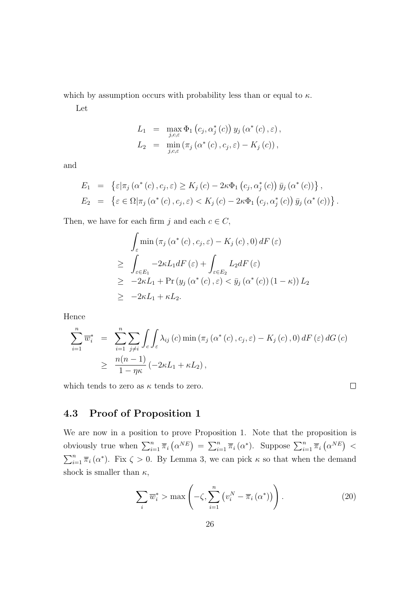which by assumption occurs with probability less than or equal to  $\kappa$ .

Let

$$
L_1 = \max_{j,c,\varepsilon} \Phi_1(c_j, \alpha_j^*(c)) y_j(\alpha^*(c), \varepsilon),
$$
  
\n
$$
L_2 = \min_{j,c,\varepsilon} (\pi_j(\alpha^*(c), c_j, \varepsilon) - K_j(c)),
$$

and

$$
E_1 = \left\{ \varepsilon | \pi_j(\alpha^*(c), c_j, \varepsilon) \ge K_j(c) - 2\kappa \Phi_1(c_j, \alpha_j^*(c)) \bar{y}_j(\alpha^*(c)) \right\},
$$
  
\n
$$
E_2 = \left\{ \varepsilon \in \Omega | \pi_j(\alpha^*(c), c_j, \varepsilon) < K_j(c) - 2\kappa \Phi_1(c_j, \alpha_j^*(c)) \bar{y}_j(\alpha^*(c)) \right\}.
$$

Then, we have for each firm j and each  $c \in C$ ,

$$
\int_{\varepsilon} \min(\pi_j(\alpha^*(c), c_j, \varepsilon) - K_j(c), 0) dF(\varepsilon)
$$
\n
$$
\geq \int_{\varepsilon \in E_1} -2\kappa L_1 dF(\varepsilon) + \int_{\varepsilon \in E_2} L_2 dF(\varepsilon)
$$
\n
$$
\geq -2\kappa L_1 + \Pr(y_j(\alpha^*(c), \varepsilon) < \bar{y}_j(\alpha^*(c)) (1 - \kappa)) L_2
$$
\n
$$
\geq -2\kappa L_1 + \kappa L_2.
$$

Hence

$$
\sum_{i=1}^{n} \overline{w}_{i}^{*} = \sum_{i=1}^{n} \sum_{j \neq i} \int_{c} \int_{\varepsilon} \lambda_{ij} (c) \min(\pi_{j} (\alpha^{*} (c), c_{j}, \varepsilon) - K_{j} (c), 0) dF(\varepsilon) dG(c)
$$
  
 
$$
\geq \frac{n(n-1)}{1 - \eta \kappa} (-2\kappa L_{1} + \kappa L_{2}),
$$

which tends to zero as  $\kappa$  tends to zero.

 $\Box$ 

### 4.3 Proof of Proposition 1

We are now in a position to prove Proposition 1. Note that the proposition is obviously true when  $\sum_{i=1}^n \overline{\pi}_i (\alpha^{NE}) = \sum_{i=1}^n \overline{\pi}_i (\alpha^*)$ . Suppose  $\sum_{i=1}^n \overline{\pi}_i (\alpha^{NE})$  $\sum_{i=1}^{n} \overline{\pi}_i (\alpha^*)$ . Fix  $\zeta > 0$ . By Lemma 3, we can pick  $\kappa$  so that when the demand shock is smaller than  $\kappa$ ,

$$
\sum_{i} \overline{w}_{i}^{*} > \max\left(-\zeta, \sum_{i=1}^{n} \left(v_{i}^{N} - \overline{\pi}_{i}\left(\alpha^{*}\right)\right)\right). \tag{20}
$$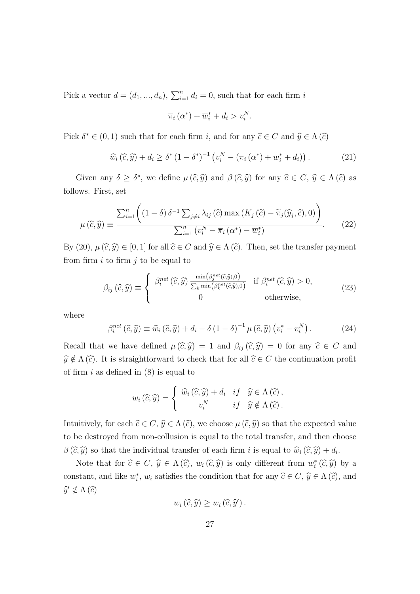Pick a vector  $d = (d_1, ..., d_n)$ ,  $\sum_{i=1}^n d_i = 0$ , such that for each firm i

$$
\overline{\pi}_i(\alpha^*) + \overline{w}_i^* + d_i > v_i^N.
$$

Pick  $\delta^* \in (0, 1)$  such that for each firm *i*, and for any  $\hat{c} \in C$  and  $\hat{y} \in \Lambda(\hat{c})$ 

$$
\widehat{w}_i\left(\widehat{c},\widehat{y}\right) + d_i \ge \delta^* \left(1 - \delta^*\right)^{-1} \left(v_i^N - \left(\overline{\pi}_i\left(\alpha^*\right) + \overline{w}_i^* + d_i\right)\right). \tag{21}
$$

Given any  $\delta \geq \delta^*$ , we define  $\mu(\widehat{c}, \widehat{y})$  and  $\beta(\widehat{c}, \widehat{y})$  for any  $\widehat{c} \in C$ ,  $\widehat{y} \in \Lambda(\widehat{c})$  as follows. First, set

$$
\mu\left(\widehat{c},\widehat{y}\right) \equiv \frac{\sum_{i=1}^{n} \left( \left(1-\delta\right) \delta^{-1} \sum_{j \neq i} \lambda_{ij} \left(\widehat{c}\right) \max\left(K_{j}\left(\widehat{c}\right)-\widetilde{\pi}_{j}(\widehat{y}_{j},\widehat{c}),0\right)\right)}{\sum_{i=1}^{n} \left(v_{i}^{N}-\overline{\pi}_{i}\left(\alpha^{*}\right)-\overline{w}_{i}^{*}\right)}.
$$
\n(22)

By (20),  $\mu(\widehat{c}, \widehat{y}) \in [0, 1]$  for all  $\widehat{c} \in C$  and  $\widehat{y} \in \Lambda(\widehat{c})$ . Then, set the transfer payment from firm  $i$  to firm  $j$  to be equal to

$$
\beta_{ij}(\widehat{c},\widehat{y}) \equiv \begin{cases} \beta_i^{net}(\widehat{c},\widehat{y}) \frac{\min(\beta_j^{net}(\widehat{c},\widehat{y}),0)}{\sum_k \min(\beta_k^{net}(\widehat{c},\widehat{y}),0)} & \text{if } \beta_i^{net}(\widehat{c},\widehat{y}) > 0, \\ 0 & \text{otherwise,} \end{cases}
$$
(23)

where

$$
\beta_i^{net}(\widehat{c}, \widehat{y}) \equiv \widehat{w}_i(\widehat{c}, \widehat{y}) + d_i - \delta (1 - \delta)^{-1} \mu (\widehat{c}, \widehat{y}) (v_i^* - v_i^N). \tag{24}
$$

Recall that we have defined  $\mu(\widehat{c}, \widehat{y}) = 1$  and  $\beta_{ij}(\widehat{c}, \widehat{y}) = 0$  for any  $\widehat{c} \in C$  and  $\widehat{y} \notin \Lambda(\widehat{c})$ . It is straightforward to check that for all  $\widehat{c} \in C$  the continuation profit of firm  $i$  as defined in  $(8)$  is equal to

$$
w_i(\widehat{c}, \widehat{y}) = \begin{cases} \widehat{w}_i(\widehat{c}, \widehat{y}) + d_i & \text{if } \widehat{y} \in \Lambda(\widehat{c}), \\ v_i^N & \text{if } \widehat{y} \notin \Lambda(\widehat{c}). \end{cases}
$$

Intuitively, for each  $\hat{c} \in C$ ,  $\hat{y} \in \Lambda(\hat{c})$ , we choose  $\mu(\hat{c}, \hat{y})$  so that the expected value to be destroyed from non-collusion is equal to the total transfer, and then choose  $\beta(\widehat{c}, \widehat{y})$  so that the individual transfer of each firm i is equal to  $\widehat{w}_i(\widehat{c}, \widehat{y}) + d_i$ .

Note that for  $\hat{c} \in C$ ,  $\hat{y} \in \Lambda(\hat{c})$ ,  $w_i(\hat{c}, \hat{y})$  is only different from  $w_i^*(\hat{c}, \hat{y})$  by a constant, and like  $w_i^*$ ,  $w_i$  satisfies the condition that for any  $\hat{c} \in C$ ,  $\hat{y} \in \Lambda(\hat{c})$ , and  $\widehat{y}' \notin \Lambda(\widehat{c})$ 

$$
w_i\left(\widehat{c},\widehat{y}\right) \geq w_i\left(\widehat{c},\widehat{y}'\right).
$$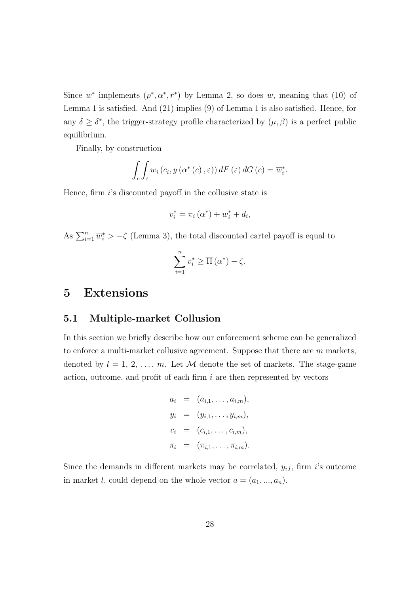Since w<sup>\*</sup> implements  $(\rho^*, \alpha^*, r^*)$  by Lemma 2, so does w, meaning that (10) of Lemma 1 is satisfied. And (21) implies (9) of Lemma 1 is also satisfied. Hence, for any  $\delta \geq \delta^*$ , the trigger-strategy profile characterized by  $(\mu, \beta)$  is a perfect public equilibrium.

Finally, by construction

$$
\int_{c} \int_{\varepsilon} w_{i} (c_{i}, y (\alpha^{*} (c), \varepsilon)) dF (\varepsilon) dG (c) = \overline{w}_{i}^{*}.
$$

Hence, firm i's discounted payoff in the collusive state is

$$
v_i^* = \overline{\pi}_i (\alpha^*) + \overline{w}_i^* + d_i,
$$

As  $\sum_{i=1}^{n} \overline{w}_i^* > -\zeta$  (Lemma 3), the total discounted cartel payoff is equal to

$$
\sum_{i=1}^{n} v_i^* \ge \overline{\Pi}(\alpha^*) - \zeta.
$$

# 5 Extensions

### 5.1 Multiple-market Collusion

In this section we briefly describe how our enforcement scheme can be generalized to enforce a multi-market collusive agreement. Suppose that there are  $m$  markets, denoted by  $l = 1, 2, ..., m$ . Let M denote the set of markets. The stage-game action, outcome, and profit of each firm  $i$  are then represented by vectors

$$
a_i = (a_{i,1}, \dots, a_{i,m}),
$$
  
\n
$$
y_i = (y_{i,1}, \dots, y_{i,m}),
$$
  
\n
$$
c_i = (c_{i,1}, \dots, c_{i,m}),
$$
  
\n
$$
\pi_i = (\pi_{i,1}, \dots, \pi_{i,m}).
$$

Since the demands in different markets may be correlated,  $y_{i,l}$ , firm i's outcome in market *l*, could depend on the whole vector  $a = (a_1, ..., a_n)$ .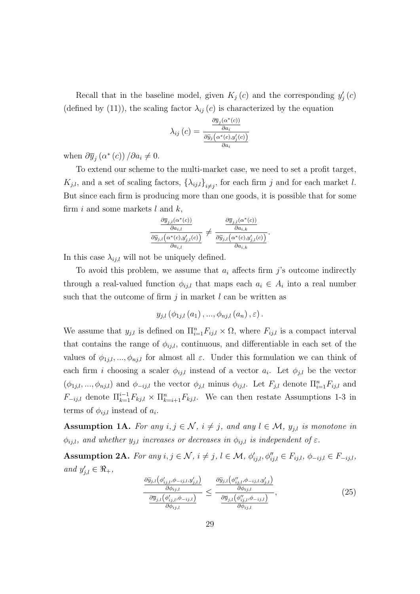Recall that in the baseline model, given  $K_j(c)$  and the corresponding  $y'_j(c)$ (defined by (11)), the scaling factor  $\lambda_{ij}(c)$  is characterized by the equation

$$
\lambda_{ij}(c) = \frac{\frac{\partial \overline{y}_j(\alpha^*(c))}{\partial a_i}}{\frac{\partial \widetilde{y}_j(\alpha^*(c), y'_j(c))}{\partial a_i}}
$$

when  $\partial \overline{y}_j(\alpha^*(c)) / \partial a_i \neq 0$ .

To extend our scheme to the multi-market case, we need to set a profit target,  $K_{j,l}$ , and a set of scaling factors,  $\{\lambda_{ij,l}\}_{i\neq j}$ , for each firm j and for each market l. But since each firm is producing more than one goods, it is possible that for some firm i and some markets  $l$  and  $k$ ,

$$
\frac{\frac{\partial \overline{y}_{j,l}(\alpha^*(c))}{\partial a_{i,l}}}{\frac{\partial \widetilde{y}_{j,l}(\alpha^*(c),y'_{j,l}(c))}{\partial a_{i,l}}} \neq \frac{\frac{\partial \overline{y}_{j,l}(\alpha^*(c))}{\partial a_{i,k}}}{\frac{\partial \widetilde{y}_{j,l}(\alpha^*(c),y'_{j,l}(c))}{\partial a_{i,k}}}.
$$

In this case  $\lambda_{i,j,l}$  will not be uniquely defined.

To avoid this problem, we assume that  $a_i$  affects firm j's outcome indirectly through a real-valued function  $\phi_{ij,l}$  that maps each  $a_i \in A_i$  into a real number such that the outcome of firm  $j$  in market l can be written as

$$
y_{j,l}\left(\phi_{1j,l}\left(a_{1}\right),...,\phi_{nj,l}\left(a_{n}\right),\varepsilon\right).
$$

We assume that  $y_{j,l}$  is defined on  $\prod_{i=1}^n F_{ij,l} \times \Omega$ , where  $F_{ij,l}$  is a compact interval that contains the range of  $\phi_{ij,l}$ , continuous, and differentiable in each set of the values of  $\phi_{1j,l},...,\phi_{nj,l}$  for almost all  $\varepsilon$ . Under this formulation we can think of each firm *i* choosing a scaler  $\phi_{ij,l}$  instead of a vector  $a_i$ . Let  $\phi_{j,l}$  be the vector  $(\phi_{1j,l},...,\phi_{nj,l})$  and  $\phi_{-ij,l}$  the vector  $\phi_{j,l}$  minus  $\phi_{ij,l}$ . Let  $F_{j,l}$  denote  $\Pi_{i=1}^n F_{ij,l}$  and  $F_{-ij,l}$  denote  $\prod_{k=1}^{i-1} F_{kj,l} \times \prod_{k=i+1}^{n} F_{kj,l}$ . We can then restate Assumptions 1-3 in terms of  $\phi_{ij,l}$  instead of  $a_i$ .

Assumption 1A. For any  $i, j \in \mathcal{N}$ ,  $i \neq j$ , and any  $l \in \mathcal{M}$ ,  $y_{j,l}$  is monotone in  $\phi_{ij,l}$ , and whether  $y_{j,l}$  increases or decreases in  $\phi_{ij,l}$  is independent of  $\varepsilon$ .

Assumption 2A. For any  $i, j \in \mathcal{N}$ ,  $i \neq j$ ,  $l \in \mathcal{M}$ ,  $\phi'_{ij,l}, \phi''_{ij,l} \in F_{ij,l}$ ,  $\phi_{-ij,l} \in F_{-ij,l}$ , and  $y'_{j,l} \in \Re_+,$ 

$$
\frac{\frac{\partial \widetilde{y}_{j,l}\left(\phi'_{ij,l},\phi_{-ij,l},y'_{j,l}\right)}{\partial \phi_{ij,l}}}{\frac{\partial \overline{y}_{j,l}\left(\phi'_{ij,l},\phi_{-ij,l}\right)}{\partial \phi_{ij,l}}}\leq \frac{\frac{\partial \widetilde{y}_{j,l}\left(\phi''_{ij,l},\phi_{-ij,l},y'_{j,l}\right)}{\partial \phi_{ij,l}}}{\frac{\partial \overline{y}_{j,l}\left(\phi''_{ij,l},\phi_{-ij,l}\right)}{\partial \phi_{ij,l}}},\tag{25}
$$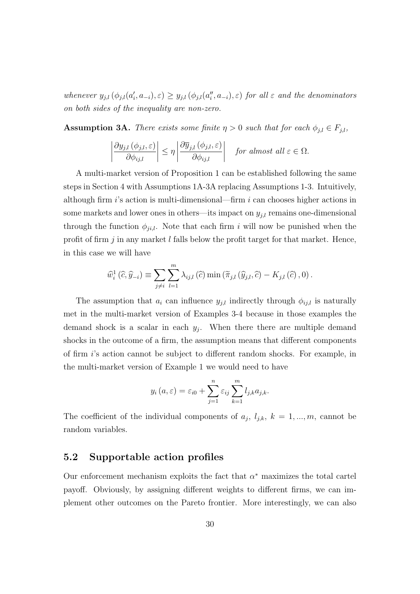whenever  $y_{j,l}(\phi_{j,l}(a_i', a_{-i}), \varepsilon) \ge y_{j,l}(\phi_{j,l}(a_i'', a_{-i}), \varepsilon)$  for all  $\varepsilon$  and the denominators on both sides of the inequality are non-zero.

**Assumption 3A.** There exists some finite  $\eta > 0$  such that for each  $\phi_{j,l} \in F_{j,l}$ ,

$$
\left|\frac{\partial y_{j,l}\left(\phi_{j,l},\varepsilon\right)}{\partial \phi_{ij,l}}\right| \leq \eta \left|\frac{\partial \overline{y}_{j,l}\left(\phi_{j,l},\varepsilon\right)}{\partial \phi_{ij,l}}\right| \quad \textit{for almost all } \varepsilon \in \Omega.
$$

A multi-market version of Proposition 1 can be established following the same steps in Section 4 with Assumptions 1A-3A replacing Assumptions 1-3. Intuitively, although firm  $i$ 's action is multi-dimensional—firm  $i$  can chooses higher actions in some markets and lower ones in others—its impact on  $y_{i,l}$  remains one-dimensional through the function  $\phi_{ji,l}$ . Note that each firm i will now be punished when the profit of firm  $j$  in any market  $l$  falls below the profit target for that market. Hence, in this case we will have

$$
\widehat{w}_{i}^{1}(\widehat{c},\widehat{y}_{-i}) \equiv \sum_{j\neq i} \sum_{l=1}^{m} \lambda_{ij,l}(\widehat{c}) \min\left(\widetilde{\pi}_{j,l}\left(\widehat{y}_{j,l},\widehat{c}\right) - K_{j,l}\left(\widehat{c}\right),0\right).
$$

The assumption that  $a_i$  can influence  $y_{j,l}$  indirectly through  $\phi_{ij,l}$  is naturally met in the multi-market version of Examples 3-4 because in those examples the demand shock is a scalar in each  $y_j$ . When there there are multiple demand shocks in the outcome of a firm, the assumption means that different components of firm i's action cannot be subject to different random shocks. For example, in the multi-market version of Example 1 we would need to have

$$
y_i(a,\varepsilon) = \varepsilon_{i0} + \sum_{j=1}^n \varepsilon_{ij} \sum_{k=1}^m l_{j,k} a_{j,k}.
$$

The coefficient of the individual components of  $a_j$ ,  $l_{j,k}$ ,  $k = 1, ..., m$ , cannot be random variables.

### 5.2 Supportable action profiles

Our enforcement mechanism exploits the fact that  $\alpha^*$  maximizes the total cartel payoff. Obviously, by assigning different weights to different firms, we can implement other outcomes on the Pareto frontier. More interestingly, we can also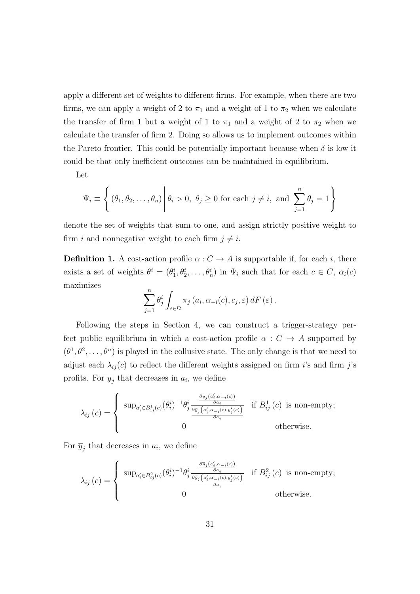apply a different set of weights to different firms. For example, when there are two firms, we can apply a weight of 2 to  $\pi_1$  and a weight of 1 to  $\pi_2$  when we calculate the transfer of firm 1 but a weight of 1 to  $\pi_1$  and a weight of 2 to  $\pi_2$  when we calculate the transfer of firm 2. Doing so allows us to implement outcomes within the Pareto frontier. This could be potentially important because when  $\delta$  is low it could be that only inefficient outcomes can be maintained in equilibrium.

Let

$$
\Psi_i \equiv \left\{ (\theta_1, \theta_2, \dots, \theta_n) \middle| \theta_i > 0, \ \theta_j \ge 0 \text{ for each } j \neq i, \text{ and } \sum_{j=1}^n \theta_j = 1 \right\}
$$

denote the set of weights that sum to one, and assign strictly positive weight to firm *i* and nonnegative weight to each firm  $j \neq i$ .

**Definition 1.** A cost-action profile  $\alpha$  :  $C \rightarrow A$  is supportable if, for each i, there exists a set of weights  $\theta^i = (\theta_1^i, \theta_2^i, \dots, \theta_n^i)$  in  $\Psi_i$  such that for each  $c \in C$ ,  $\alpha_i(c)$ maximizes

$$
\sum_{j=1}^n \theta_j^i \int_{\varepsilon \in \Omega} \pi_j(a_i, \alpha_{-i}(c), c_j, \varepsilon) dF(\varepsilon).
$$

Following the steps in Section 4, we can construct a trigger-strategy perfect public equilibrium in which a cost-action profile  $\alpha : C \rightarrow A$  supported by  $(\theta^1, \theta^2, \dots, \theta^n)$  is played in the collusive state. The only change is that we need to adjust each  $\lambda_{ij}(c)$  to reflect the different weights assigned on firm *i*'s and firm *j*'s profits. For  $\overline{y}_j$  that decreases in  $a_i$ , we define

$$
\lambda_{ij}(c) = \begin{cases} \sup_{a'_i \in B_{ij}^1(c)} (\theta_i^i)^{-1} \theta_j^i \frac{\frac{\partial \overline{y}_j(a'_i, \alpha_{-i}(c))}{\partial a_i}}{\frac{\partial \overline{y}_j(a'_i, \alpha_{-i}(c), y'_j(c))}{\partial a_i}} & \text{if } B_{ij}^1(c) \text{ is non-empty;} \\ 0 & \text{otherwise.} \end{cases}
$$

For  $\overline{y}_j$  that decreases in  $a_i$ , we define

$$
\lambda_{ij}(c) = \begin{cases} \sup_{a'_i \in B_{ij}^2(c)} (\theta_i^i)^{-1} \theta_j^i \frac{\frac{\partial \overline{y}_j(a'_i, \alpha_{-i}(c))}{\partial a_i}}{\frac{\partial \overline{y}_j(a'_i, \alpha_{-i}(c), y'_j(c))}{\partial a_i}} & \text{if } B_{ij}^2(c) \text{ is non-empty;} \\ 0 & \text{otherwise.} \end{cases}
$$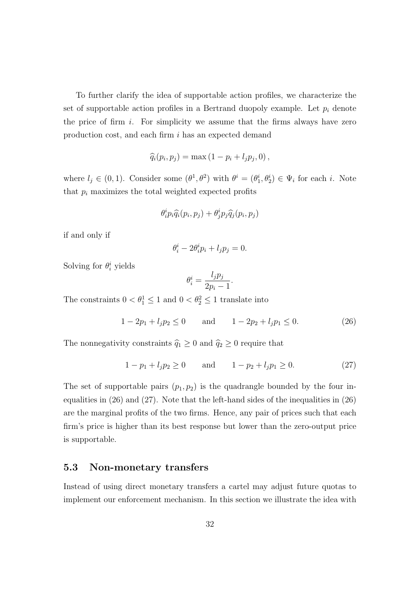To further clarify the idea of supportable action profiles, we characterize the set of supportable action profiles in a Bertrand duopoly example. Let  $p_i$  denote the price of firm  $i$ . For simplicity we assume that the firms always have zero production cost, and each firm i has an expected demand

$$
\widehat{q_i}(p_i, p_j) = \max\left(1 - p_i + l_j p_j, 0\right),\,
$$

where  $l_j \in (0,1)$ . Consider some  $(\theta^1, \theta^2)$  with  $\theta^i = (\theta_1^i, \theta_2^i) \in \Psi_i$  for each i. Note that  $p_i$  maximizes the total weighted expected profits

$$
\theta_i^i p_i \widehat{q}_i(p_i, p_j) + \theta_j^i p_j \widehat{q}_j(p_i, p_j)
$$

if and only if

$$
\theta_i^i - 2\theta_i^i p_i + l_j p_j = 0.
$$

Solving for  $\theta_i^i$  yields

$$
\theta_i^i = \frac{l_j p_j}{2p_i - 1}.
$$

The constraints  $0 < \theta_1^1 \leq 1$  and  $0 < \theta_2^2 \leq 1$  translate into

$$
1 - 2p_1 + l_j p_2 \le 0 \qquad \text{and} \qquad 1 - 2p_2 + l_j p_1 \le 0. \tag{26}
$$

The nonnegativity constraints  $\hat{q}_1 \geq 0$  and  $\hat{q}_2 \geq 0$  require that

$$
1 - p_1 + l_j p_2 \ge 0 \quad \text{and} \quad 1 - p_2 + l_j p_1 \ge 0. \tag{27}
$$

The set of supportable pairs  $(p_1, p_2)$  is the quadrangle bounded by the four inequalities in (26) and (27). Note that the left-hand sides of the inequalities in (26) are the marginal profits of the two firms. Hence, any pair of prices such that each firm's price is higher than its best response but lower than the zero-output price is supportable.

### 5.3 Non-monetary transfers

Instead of using direct monetary transfers a cartel may adjust future quotas to implement our enforcement mechanism. In this section we illustrate the idea with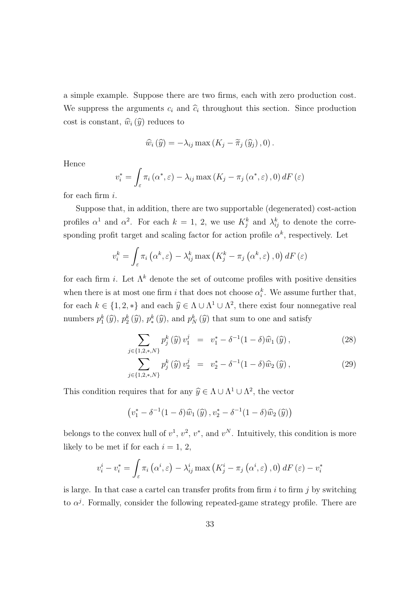a simple example. Suppose there are two firms, each with zero production cost. We suppress the arguments  $c_i$  and  $\hat{c}_i$  throughout this section. Since production cost is constant,  $\widehat{w}_i(\widehat{y})$  reduces to

$$
\widehat{w}_{i}(\widehat{y}) = -\lambda_{ij} \max(K_{j} - \widetilde{\pi}_{j}(\widehat{y}_{j}), 0).
$$

Hence

$$
v_i^* = \int_{\varepsilon} \pi_i(\alpha^*, \varepsilon) - \lambda_{ij} \max(K_j - \pi_j(\alpha^*, \varepsilon), 0) dF(\varepsilon)
$$

for each firm i.

Suppose that, in addition, there are two supportable (degenerated) cost-action profiles  $\alpha^1$  and  $\alpha^2$ . For each  $k = 1, 2$ , we use  $K_j^k$  and  $\lambda_{ij}^k$  to denote the corresponding profit target and scaling factor for action profile  $\alpha^k$ , respectively. Let

$$
v_i^k = \int_{\varepsilon} \pi_i\left(\alpha^k, \varepsilon\right) - \lambda_{ij}^k \max\left(K_j^k - \pi_j\left(\alpha^k, \varepsilon\right), 0\right) dF\left(\varepsilon\right)
$$

for each firm *i*. Let  $\Lambda^k$  denote the set of outcome profiles with positive densities when there is at most one firm i that does not choose  $\alpha_i^k$ . We assume further that, for each  $k \in \{1, 2, *\}$  and each  $\hat{y} \in \Lambda \cup \Lambda^1 \cup \Lambda^2$ , there exist four nonnegative real numbers  $p_1^k(\hat{y}), p_2^k(\hat{y}), p_*^k(\hat{y}),$  and  $p_N^k(\hat{y})$  that sum to one and satisfy

$$
\sum_{j \in \{1,2,\ast,N\}} p_j^k(\hat{y}) v_1^j = v_1^* - \delta^{-1} (1 - \delta) \hat{w}_1(\hat{y}), \qquad (28)
$$

$$
\sum_{j \in \{1,2,\ast,N\}} p_j^k(\hat{y}) v_2^j = v_2^* - \delta^{-1} (1 - \delta) \hat{w}_2(\hat{y}), \qquad (29)
$$

This condition requires that for any  $\hat{y} \in \Lambda \cup \Lambda^1 \cup \Lambda^2$ , the vector

$$
(v_1^* - \delta^{-1}(1-\delta)\widehat{w}_1(\widehat{y}), v_2^* - \delta^{-1}(1-\delta)\widehat{w}_2(\widehat{y}))
$$

belongs to the convex hull of  $v^1$ ,  $v^2$ ,  $v^*$ , and  $v^N$ . Intuitively, this condition is more likely to be met if for each  $i = 1, 2$ ,

$$
v_i^i - v_i^* = \int_{\varepsilon} \pi_i \left( \alpha^i, \varepsilon \right) - \lambda_{ij}^i \max \left( K_j^i - \pi_j \left( \alpha^i, \varepsilon \right), 0 \right) dF \left( \varepsilon \right) - v_i^*
$$

is large. In that case a cartel can transfer profits from firm  $i$  to firm  $j$  by switching to  $\alpha^{j}$ . Formally, consider the following repeated-game strategy profile. There are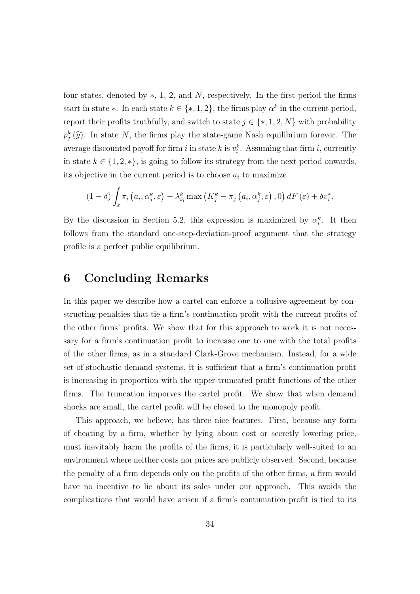four states, denoted by  $\ast$ , 1, 2, and N, respectively. In the first period the firms start in state  $\ast$ . In each state  $k \in \{*, 1, 2\}$ , the firms play  $\alpha^k$  in the current period, report their profits truthfully, and switch to state  $j \in \{*, 1, 2, N\}$  with probability  $p_j^k(\hat{y})$ . In state N, the firms play the state-game Nash equilibrium forever. The average discounted payoff for firm i in state k is  $v_i^k$ . Assuming that firm i, currently in state  $k \in \{1, 2, *\}$ , is going to follow its strategy from the next period onwards, its objective in the current period is to choose  $a_i$  to maximize

$$
(1 - \delta) \int_{\varepsilon} \pi_i \left( a_i, \alpha_j^k, \varepsilon \right) - \lambda_{ij}^k \max \left( K_j^k - \pi_j \left( a_i, \alpha_j^k, \varepsilon \right), 0 \right) dF \left( \varepsilon \right) + \delta v_i^*.
$$

By the discussion in Section 5.2, this expression is maximized by  $\alpha_i^k$ . It then follows from the standard one-step-deviation-proof argument that the strategy profile is a perfect public equilibrium.

### 6 Concluding Remarks

In this paper we describe how a cartel can enforce a collusive agreement by constructing penalties that tie a firm's continuation profit with the current profits of the other firms' profits. We show that for this approach to work it is not necessary for a firm's continuation profit to increase one to one with the total profits of the other firms, as in a standard Clark-Grove mechanism. Instead, for a wide set of stochastic demand systems, it is sufficient that a firm's continuation profit is increasing in proportion with the upper-truncated profit functions of the other firms. The truncation imporves the cartel profit. We show that when demand shocks are small, the cartel profit will be closed to the monopoly profit.

This approach, we believe, has three nice features. First, because any form of cheating by a firm, whether by lying about cost or secretly lowering price, must inevitably harm the profits of the firms, it is particularly well-suited to an environment where neither costs nor prices are publicly observed. Second, because the penalty of a firm depends only on the profits of the other firms, a firm would have no incentive to lie about its sales under our approach. This avoids the complications that would have arisen if a firm's continuation profit is tied to its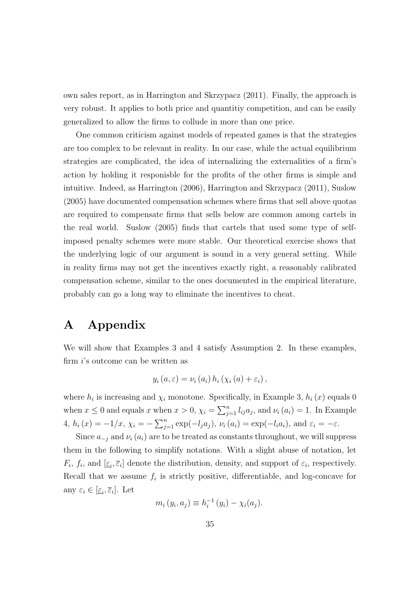own sales report, as in Harrington and Skrzypacz (2011). Finally, the approach is very robust. It applies to both price and quantitiy competition, and can be easily generalized to allow the firms to collude in more than one price.

One common criticism against models of repeated games is that the strategies are too complex to be relevant in reality. In our case, while the actual equilibrium strategies are complicated, the idea of internalizing the externalities of a firm's action by holding it responisble for the profits of the other firms is simple and intuitive. Indeed, as Harrington (2006), Harrington and Skrzypacz (2011), Suslow (2005) have documented compensation schemes where firms that sell above quotas are required to compensate firms that sells below are common among cartels in the real world. Suslow (2005) finds that cartels that used some type of selfimposed penalty schemes were more stable. Our theoretical exercise shows that the underlying logic of our argument is sound in a very general setting. While in reality firms may not get the incentives exactly right, a reasonably calibrated compensation scheme, similar to the ones documented in the empirical literature, probably can go a long way to eliminate the incentives to cheat.

# A Appendix

We will show that Examples 3 and 4 satisfy Assumption 2. In these examples, firm i's outcome can be written as

$$
y_i(a,\varepsilon) = \nu_i(a_i) h_i(\chi_i(a) + \varepsilon_i),
$$

where  $h_i$  is increasing and  $\chi_i$  monotone. Specifically, in Example 3,  $h_i(x)$  equals 0 when  $x \leq 0$  and equals x when  $x > 0$ ,  $\chi_i = \sum_{j=1}^n l_{ij} a_j$ , and  $\nu_i (a_i) = 1$ . In Example 4,  $h_i(x) = -1/x$ ,  $\chi_i = -\sum_{j=1}^n \exp(-l_j a_j)$ ,  $\nu_i(a_i) = \exp(-l_i a_i)$ , and  $\varepsilon_i = -\varepsilon$ .

Since  $a_{-i}$  and  $\nu_i(a_i)$  are to be treated as constants throughout, we will suppress them in the following to simplify notations. With a slight abuse of notation, let  $F_i$ ,  $f_i$ , and  $[\underline{\varepsilon}_i, \overline{\varepsilon}_i]$  denote the distribution, density, and support of  $\varepsilon_i$ , respectively. Recall that we assume  $f_i$  is strictly positive, differentiable, and log-concave for any  $\varepsilon_i \in [\underline{\varepsilon}_i, \overline{\varepsilon}_i]$ . Let

$$
m_i(y_i, a_j) \equiv h_i^{-1}(y_i) - \chi_i(a_j).
$$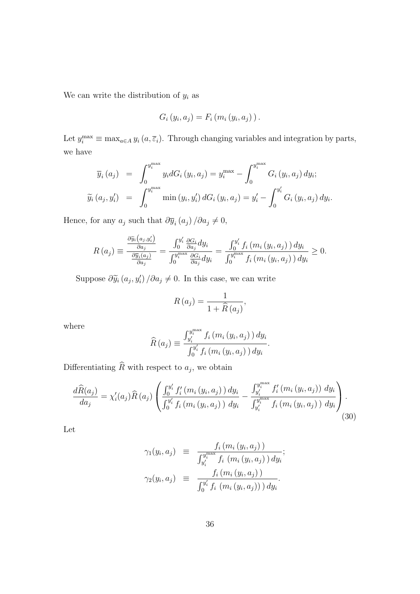We can write the distribution of  $y_i$  as

$$
G_i(y_i, a_j) = F_i(m_i(y_i, a_j)).
$$

Let  $y_i^{\max} \equiv \max_{a \in A} y_i(a, \overline{\varepsilon}_i)$ . Through changing variables and integration by parts, we have

$$
\overline{y}_{i}(a_{j}) = \int_{0}^{y_{i}^{\max}} y_{i} dG_{i}(y_{i}, a_{j}) = y_{i}^{\max} - \int_{0}^{y_{i}^{\max}} G_{i}(y_{i}, a_{j}) dy_{i};
$$

$$
\widetilde{y}_{i}(a_{j}, y_{i}') = \int_{0}^{y_{i}^{\max}} \min(y_{i}, y_{i}') dG_{i}(y_{i}, a_{j}) = y_{i}' - \int_{0}^{y_{i}'} G_{i}(y_{i}, a_{j}) dy_{i}.
$$

Hence, for any  $a_j$  such that  $\partial \overline{y}_i(a_j) / \partial a_j \neq 0$ ,

$$
R\left(a_{j}\right) \equiv \frac{\frac{\partial \widetilde{y}_{i}\left(a_{j}, y_{i}'\right)}{\partial a_{j}}}{\frac{\partial \overline{y}_{i}\left(a_{j}\right)}{\partial a_{j}}} = \frac{\int_{0}^{y_{i}'} \frac{\partial G_{i}}{\partial a_{j}} dy_{i}}{\int_{0}^{y_{i}^{\max}} \frac{\partial G_{i}}{\partial a_{j}} dy_{i}} = \frac{\int_{0}^{y_{i}'} f_{i}\left(m_{i}\left(y_{i}, a_{j}\right)\right) dy_{i}}{\int_{0}^{y_{i}^{\max}} f_{i}\left(m_{i}\left(y_{i}, a_{j}\right)\right) dy_{i}} \geq 0.
$$

Suppose  $\partial \widetilde{y}_i(a_j, y'_i) / \partial a_j \neq 0$ . In this case, we can write

$$
R(a_j) = \frac{1}{1 + \widehat{R}(a_j)},
$$

where

$$
\widehat{R}(a_j) \equiv \frac{\int_{y_i'}^{y_i^{\max}} f_i(m_i(y_i, a_j)) dy_i}{\int_0^{y_i'} f_i(m_i(y_i, a_j)) dy_i}
$$

.

Differentiating  $R$  with respect to  $a_j$ , we obtain

$$
\frac{d\widehat{R}(a_j)}{da_j} = \chi'_i(a_j)\widehat{R}(a_j) \left( \frac{\int_0^{y'_i} f'_i(m_i(y_i, a_j)) dy_i}{\int_0^{y'_i} f_i(m_i(y_i, a_j)) dy_i} - \frac{\int_{y'_i}^{y_i^{max}} f'_i(m_i(y_i, a_j)) dy_i}{\int_{y'_i}^{y_i^{max}} f_i(m_i(y_i, a_j)) dy_i} \right). \tag{30}
$$

Let

$$
\gamma_1(y_i, a_j) \equiv \frac{f_i(m_i(y_i, a_j))}{\int_{y'_i}^{y_i^{\max}} f_i(m_i(y_i, a_j)) dy_i};
$$
  

$$
\gamma_2(y_i, a_j) \equiv \frac{f_i(m_i(y_i, a_j))}{\int_0^{y'_i} f_i(m_i(y_i, a_j)) dy_i}.
$$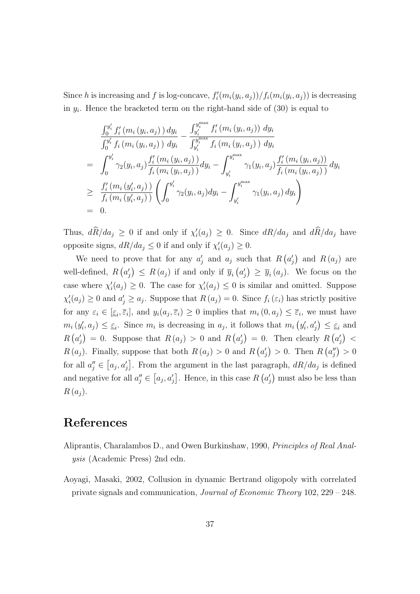Since h is increasing and f is log-concave,  $f_i'(m_i(y_i, a_j))/f_i(m_i(y_i, a_j))$  is decreasing in  $y_i$ . Hence the bracketed term on the right-hand side of  $(30)$  is equal to

$$
\frac{\int_{0}^{y'_{i}} f'_{i}(m_{i}(y_{i}, a_{j})) dy_{i}}{\int_{0}^{y'_{i}} f_{i}(m_{i}(y_{i}, a_{j})) dy_{i}} - \frac{\int_{y'_{i}}^{y^{max}_{i}} f'_{i}(m_{i}(y_{i}, a_{j})) dy_{i}}{\int_{y'_{i}}^{y^{max}_{i}} f_{i}(m_{i}(y_{i}, a_{j})) dy_{i}} \n= \int_{0}^{y'_{i}} \gamma_{2}(y_{i}, a_{j}) \frac{f'_{i}(m_{i}(y_{i}, a_{j}))}{f_{i}(m_{i}(y_{i}, a_{j}))} dy_{i} - \int_{y'_{i}}^{y^{max}_{i}} \gamma_{1}(y_{i}, a_{j}) \frac{f'_{i}(m_{i}(y_{i}, a_{j}))}{f_{i}(m_{i}(y_{i}, a_{j}))} dy_{i} \n\geq \frac{f'_{i}(m_{i}(y'_{i}, a_{j}))}{f_{i}(m_{i}(y'_{i}, a_{j}))} \left( \int_{0}^{y'_{i}} \gamma_{2}(y_{i}, a_{j}) dy_{i} - \int_{y'_{i}}^{y^{max}_{i}} \gamma_{1}(y_{i}, a_{j}) dy_{i} \right) \n= 0.
$$

Thus,  $d\hat{R}/da_j \ge 0$  if and only if  $\chi'_i(a_j) \ge 0$ . Since  $dR/da_j$  and  $d\hat{R}/da_j$  have opposite signs,  $dR/da_j \leq 0$  if and only if  $\chi'_i(a_j) \geq 0$ .

We need to prove that for any  $a'_j$  and  $a_j$  such that  $R(a'_j)$  and  $R(a_j)$  are well-defined,  $R(a'_j) \leq R(a_j)$  if and only if  $\overline{y}_i(a'_j) \geq \overline{y}_i(a_j)$ . We focus on the case where  $\chi'_i(a_j) \geq 0$ . The case for  $\chi'_i(a_j) \leq 0$  is similar and omitted. Suppose  $\chi'_i(a_j) \geq 0$  and  $a'_j \geq a_j$ . Suppose that  $R(a_j) = 0$ . Since  $f_i(\varepsilon_i)$  has strictly positive for any  $\varepsilon_i \in [\underline{\varepsilon}_i, \overline{\varepsilon}_i]$ , and  $y_i(a_j, \overline{\varepsilon}_i) \geq 0$  implies that  $m_i(0, a_j) \leq \overline{\varepsilon}_i$ , we must have  $m_i(y'_i, a_j) \leq \underline{\varepsilon}_i$ . Since  $m_i$  is decreasing in  $a_j$ , it follows that  $m_i(y'_i, a'_j) \leq \underline{\varepsilon}_i$  and  $R(a'_j) = 0$ . Suppose that  $R(a_j) > 0$  and  $R(a'_j) = 0$ . Then clearly  $R(a'_j) <$  $R(a_j)$ . Finally, suppose that both  $R(a_j) > 0$  and  $R(a'_j) > 0$ . Then  $R(a''_j) > 0$ for all  $a''_j \in [a_j, a'_j]$ . From the argument in the last paragraph,  $dR/da_j$  is defined and negative for all  $a''_j \in [a_j, a'_j]$ . Hence, in this case  $R(a'_j)$  must also be less than  $R(a_i)$ .

# References

- Aliprantis, Charalambos D., and Owen Burkinshaw, 1990, Principles of Real Analysis (Academic Press) 2nd edn.
- Aoyagi, Masaki, 2002, Collusion in dynamic Bertrand oligopoly with correlated private signals and communication, Journal of Economic Theory 102, 229 – 248.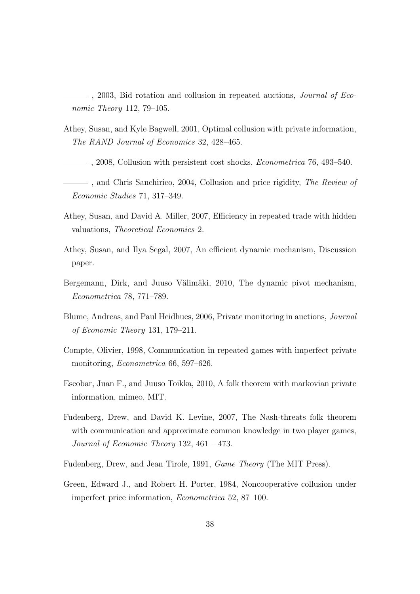$-$ , 2003, Bid rotation and collusion in repeated auctions, *Journal of Eco*nomic Theory 112, 79–105.

- Athey, Susan, and Kyle Bagwell, 2001, Optimal collusion with private information, The RAND Journal of Economics 32, 428–465.
- $-$ , 2008, Collusion with persistent cost shocks, *Econometrica* 76, 493–540.
- , and Chris Sanchirico, 2004, Collusion and price rigidity, The Review of Economic Studies 71, 317–349.
- Athey, Susan, and David A. Miller, 2007, Efficiency in repeated trade with hidden valuations, Theoretical Economics 2.
- Athey, Susan, and Ilya Segal, 2007, An efficient dynamic mechanism, Discussion paper.
- Bergemann, Dirk, and Juuso Välimäki, 2010, The dynamic pivot mechanism, Econometrica 78, 771–789.
- Blume, Andreas, and Paul Heidhues, 2006, Private monitoring in auctions, Journal of Economic Theory 131, 179–211.
- Compte, Olivier, 1998, Communication in repeated games with imperfect private monitoring, Econometrica 66, 597–626.
- Escobar, Juan F., and Juuso Toikka, 2010, A folk theorem with markovian private information, mimeo, MIT.
- Fudenberg, Drew, and David K. Levine, 2007, The Nash-threats folk theorem with communication and approximate common knowledge in two player games, Journal of Economic Theory 132, 461 – 473.
- Fudenberg, Drew, and Jean Tirole, 1991, Game Theory (The MIT Press).
- Green, Edward J., and Robert H. Porter, 1984, Noncooperative collusion under imperfect price information, Econometrica 52, 87–100.